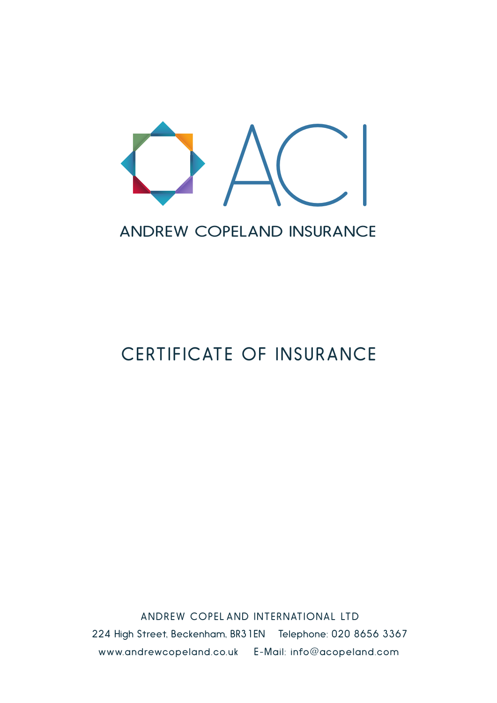

### ANDREW COPELAND INSURANCE

# CERTIFICATE OF INSURANCE

ANDREW COPEL AND INTERNATIONAL LTD 224 High Street, Beckenham, BR31EN Telephone: 020 8656 3367 www.andrewcopeland.co.uk E-Mail: info@acopeland.com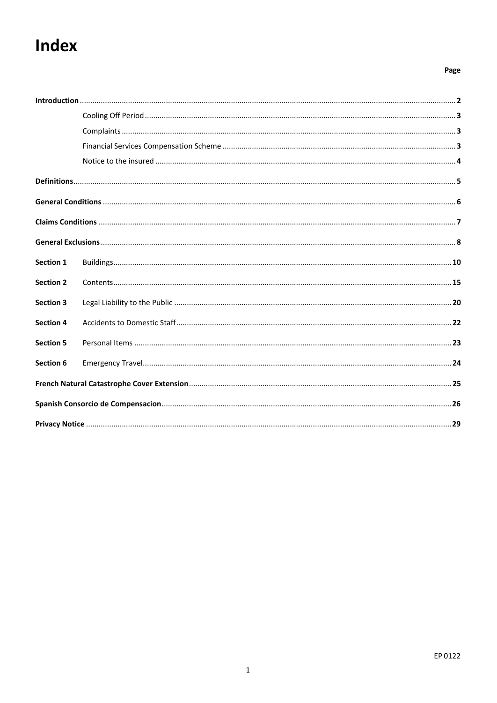# Index

#### Page

| Section 1        |  |  |  |
|------------------|--|--|--|
| <b>Section 2</b> |  |  |  |
| <b>Section 3</b> |  |  |  |
| <b>Section 4</b> |  |  |  |
| <b>Section 5</b> |  |  |  |
| Section 6        |  |  |  |
|                  |  |  |  |
|                  |  |  |  |
|                  |  |  |  |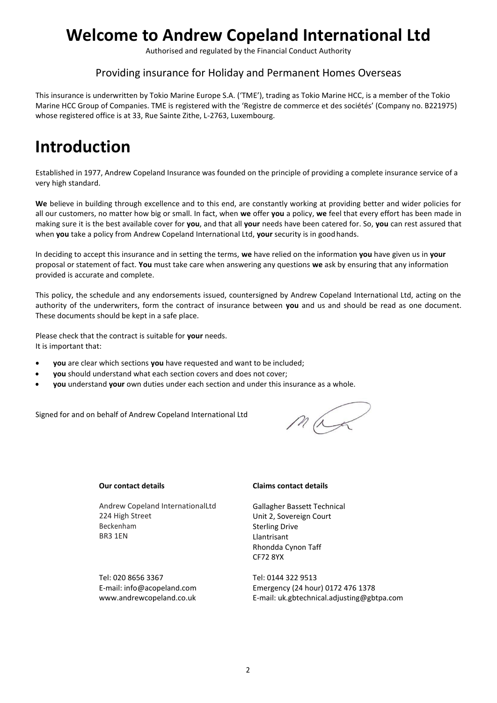## **Welcome to Andrew Copeland International Ltd**

Authorised and regulated by the Financial Conduct Authority

### Providing insurance for Holiday and Permanent Homes Overseas

This insurance is underwritten by Tokio Marine Europe S.A. ('TME'), trading as Tokio Marine HCC, is a member of the Tokio Marine HCC Group of Companies. TME is registered with the 'Registre de commerce et des sociétés' (Company no. B221975) whose registered office is at 33, Rue Sainte Zithe, L-2763, Luxembourg.

## <span id="page-2-0"></span>**Introduction**

Established in 1977, Andrew Copeland Insurance was founded on the principle of providing a complete insurance service of a very high standard.

**We** believe in building through excellence and to this end, are constantly working at providing better and wider policies for all our customers, no matter how big or small. In fact, when **we** offer **you** a policy, **we** feel that every effort has been made in making sure it is the best available cover for **you**, and that all **your** needs have been catered for. So, **you** can rest assured that when **you** take a policy from Andrew Copeland International Ltd, **your** security is in goodhands.

In deciding to accept this insurance and in setting the terms, **we** have relied on the information **you** have given us in **your**  proposal or statement of fact. **You** must take care when answering any questions **we** ask by ensuring that any information provided is accurate and complete.

This policy, the schedule and any endorsements issued, countersigned by Andrew Copeland International Ltd, acting on the authority of the underwriters, form the contract of insurance between **you** and us and should be read as one document. These documents should be kept in a safe place.

Please check that the contract is suitable for **your** needs. It is important that:

- **you** are clear which sections **you** have requested and want to be included;
- **you** should understand what each section covers and does not cover;
- **you** understand **your** own duties under each section and under this insurance as a whole.

Signed for and on behalf of Andrew Copeland International Ltd

max

#### **Our contact details**

Andrew Copeland International Ltd Andrew Copeland InternationalLtd 224 High Street Beckenham BR3 1EN

Tel: 020 8656 3367 E-mail: [info@acopeland.com](mailto:info@acopeland.com) [www.andrewcopeland.co.uk](http://www.andrewcopeland.co.uk/)

#### **Claims contact details**

Gallagher Bassett Technical Unit 2, Sovereign Court Sterling Drive Llantrisant Rhondda Cynon Taff CF72 8YX

Tel: 0144 322 9513 Emergency (24 hour) 0172 476 1378 E-mail: [uk.gbtechnical.adjusting@gbtpa.c](mailto:claims@adjustingassociates.com)om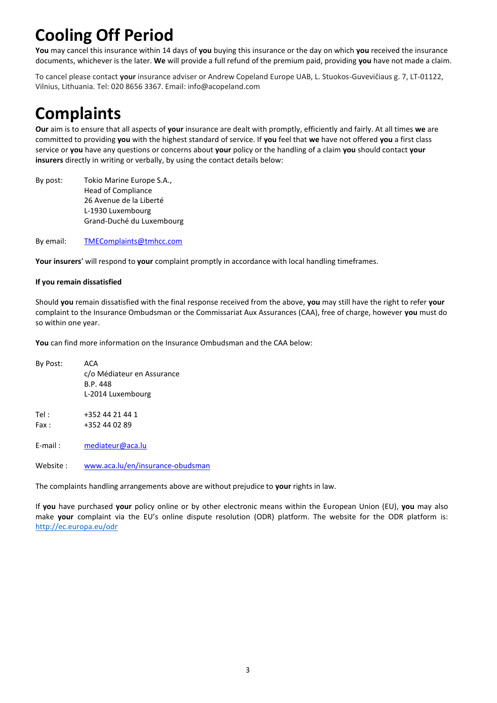# **Cooling Off Period**

**You** may cancel this insurance within 14 days of **you** buying this insurance or the day on which **you** received the insurance documents, whichever is the later. **We** will provide a full refund of the premium paid, providing **you** have not made a claim.

To cancel please contact **your** insurance adviser or Andrew Copeland Europe UAB, L. Stuokos-Guvevičiaus g. 7, LT-01122, 4SL. Tel: 020 8656 3367. [Email:info@acopeland](mailto:info@acopeland.com).com Vilnius, Lithuania. Tel: [020](mailto:info@acopeland.com) 8656 3367. Email: [info@acopeland.com](mailto:info@acopeland.com)

# **Complaints**

**Our** aim is to ensure that all aspects of **your** insurance are dealt with promptly, efficiently and fairly. At all times **we** are committed to providing **you** with the highest standard of service. If **you** feel that **we** have not offered **you** a first class service or **you** have any questions or concerns about **your** policy or the handling of a claim **you** should contact **your insurers** directly in writing or verbally, by using the contact details below:

By post: Tokio Marine Europe S.A., Head of Compliance 26 Avenue de la Liberté L-1930 Luxembourg Grand-Duché du Luxembourg

By email: [TMEComplaints@tmhcc.com](mailto:TMEComplaints@tmhcc.com)

**Your insurers**' will respond to **your** complaint promptly in accordance with local handling timeframes.

#### **If you remain dissatisfied**

Should **you** remain dissatisfied with the final response received from the above, **you** may still have the right to refer **your** complaint to the Insurance Ombudsman or the Commissariat Aux Assurances (CAA), free of charge, however **you** must do so within one year.

**You** can find more information on the Insurance Ombudsman and the CAA below:

By Post: ACA c/o Médiateur en Assurance B.P. 448 L-2014 Luxembourg Tel: +352 44 21 44 1 Fax: +352 44 02 89 E-mail : [mediateur@aca.lu](mailto:mediateur@aca.lu)

Website : [www.aca.lu/en/insurance-obudsman](http://www.aca.lu/en/insurance-obudsman)

The complaints handling arrangements above are without prejudice to **your** rights in law.

If **you** have purchased **your** policy online or by other electronic means within the European Union (EU), **you** may also make **your** complaint via the EU's online dispute resolution (ODR) platform. The website for the ODR platform is: [http://ec.europa.eu/odr](https://nam10.safelinks.protection.outlook.com/?url=https%3A%2F%2Fwebgate.ec.europa.eu%2Fodr%2Fmain%2Findex.cfm%3Fevent%3Dmain.home.chooseLanguage&data=04%7C01%7CLJOHNSON%40tmhcc.com%7Cd3ac181e6df04eeb9ed608d895421309%7C59744b1f09454a40984cc30b382e5dec%7C0%7C0%7C637423458314717967%7CUnknown%7CTWFpbGZsb3d8eyJWIjoiMC4wLjAwMDAiLCJQIjoiV2luMzIiLCJBTiI6Ik1haWwiLCJXVCI6Mn0%3D%7C1000&sdata=nO7P7RIGE8l8aUeC6jbTwDa3mvVWd2qXJfvbzUAXRiQ%3D&reserved=0)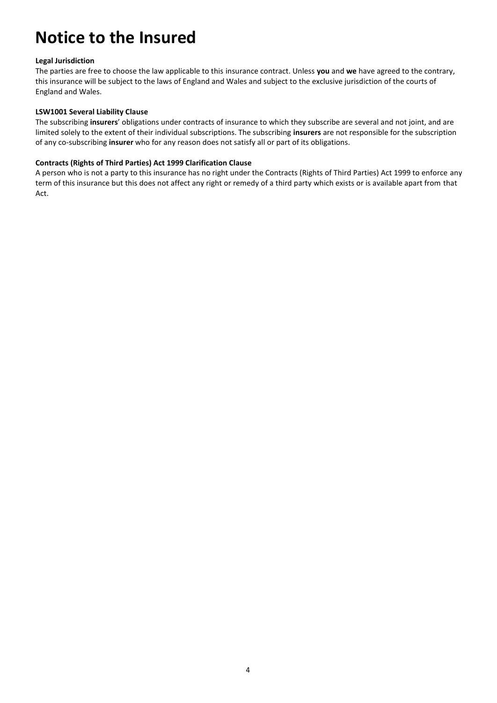## **Notice to the Insured**

#### **Legal Jurisdiction**

The parties are free to choose the law applicable to this insurance contract. Unless **you** and **we** have agreed to the contrary, this insurance will be subject to the laws of England and Wales and subject to the exclusive jurisdiction of the courts of England and Wales.

#### **LSW1001 Several Liability Clause**

The subscribing **insurers**' obligations under contracts of insurance to which they subscribe are several and not joint, and are limited solely to the extent of their individual subscriptions. The subscribing **insurers** are not responsible for the subscription of any co-subscribing **insurer** who for any reason does not satisfy all or part of its obligations.

#### **Contracts (Rights of Third Parties) Act 1999 Clarification Clause**

A person who is not a party to this insurance has no right under the Contracts (Rights of Third Parties) Act 1999 to enforce any term of this insurance but this does not affect any right or remedy of a third party which exists or is available apart from that Act.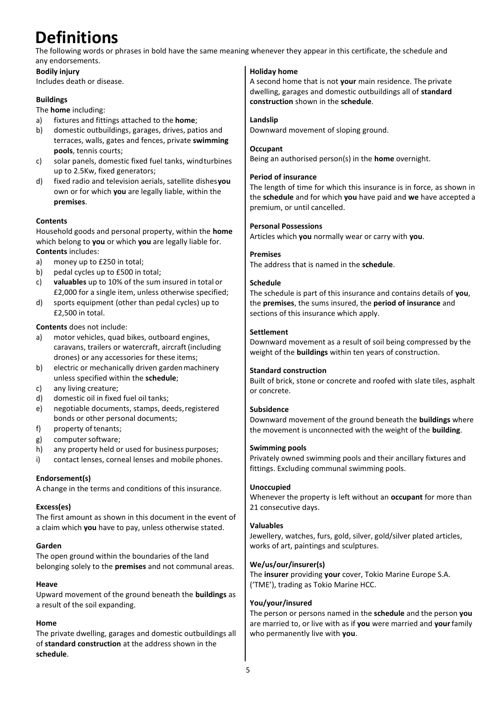# **Definitions**

The following words or phrases in bold have the same meaning whenever they appear in this certificate, the schedule and any endorsements.

### **Bodily injury**

Includes death or disease.

### **Buildings**

The **home** including:

- a) fixtures and fittings attached to the **home**;
- b) domestic outbuildings, garages, drives, patios and terraces, walls, gates and fences, private **swimming pools**, tennis courts;
- c) solar panels, domestic fixed fuel tanks, windturbines up to 2.5Kw, fixed generators;
- d) fixed radio and television aerials, satellite dishes**you** own or for which **you** are legally liable, within the **premises**.

### **Contents**

Household goods and personal property, within the **home** which belong to **you** or which **you** are legally liable for. **Contents** includes:

a) money up to £250 in total;

- b) pedal cycles up to £500 in total;
- c) **valuables** up to 10% of the sum insured in total or £2,000 for a single item, unless otherwise specified;
- d) sports equipment (other than pedal cycles) up to £2,500 in total.

**Contents** does not include:

- a) motor vehicles, quad bikes, outboard engines, caravans, trailers or watercraft, aircraft (including drones) or any accessories for these items;
- b) electric or mechanically driven gardenmachinery unless specified within the **schedule**;
- c) any living creature;
- d) domestic oil in fixed fuel oil tanks;
- e) negotiable documents, stamps, deeds,registered bonds or other personal documents;
- f) property of tenants;
- g) computer software;
- h) any property held or used for business purposes;
- i) contact lenses, corneal lenses and mobile phones.

#### **Endorsement(s)**

A change in the terms and conditions of this insurance.

### **Excess(es)**

The first amount as shown in this document in the event of a claim which **you** have to pay, unless otherwise stated.

### **Garden**

The open ground within the boundaries of the land belonging solely to the **premises** and not communal areas.

#### **Heave**

Upward movement of the ground beneath the **buildings** as a result of the soil expanding.

#### **Home**

The private dwelling, garages and domestic outbuildings all of **standard construction** at the address shown in the **schedule**.

### **Holiday home**

A second home that is not **your** main residence. The private dwelling, garages and domestic outbuildings all of **standard construction** shown in the **schedule**.

### **Landslip**

Downward movement of sloping ground.

#### **Occupant**

Being an authorised person(s) in the **home** overnight.

#### **Period of insurance**

The length of time for which this insurance is in force, as shown in the **schedule** and for which **you** have paid and **we** have accepted a premium, or until cancelled.

#### **Personal Possessions**

Articles which **you** normally wear or carry with **you**.

### **Premises**

The address that is named in the **schedule**.

### **Schedule**

The schedule is part of this insurance and contains details of **you**, the **premises**, the sums insured, the **period of insurance** and sections of this insurance which apply.

### **Settlement**

Downward movement as a result of soil being compressed by the weight of the **buildings** within ten years of construction.

#### **Standard construction**

Built of brick, stone or concrete and roofed with slate tiles, asphalt or concrete.

### **Subsidence**

Downward movement of the ground beneath the **buildings** where the movement is unconnected with the weight of the **building**.

#### **Swimming pools**

Privately owned swimming pools and their ancillary fixtures and fittings. Excluding communal swimming pools.

### **Unoccupied**

Whenever the property is left without an **occupant** for more than 21 consecutive days.

### **Valuables**

Jewellery, watches, furs, gold, silver, gold/silver plated articles, works of art, paintings and sculptures.

### **We/us/our/insurer(s)**

The **insurer** providing **your** cover, Tokio Marine Europe S.A. ('TME'), trading as Tokio Marine HCC.

#### **You/your/insured**

The person or persons named in the **schedule** and the person **you**  are married to, or live with as if **you** were married and **your**family who permanently live with **you**.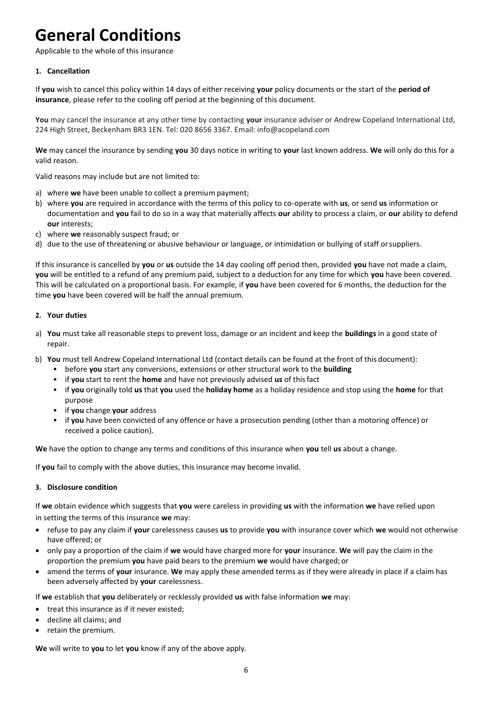# **General Conditions**

Applicable to the whole of this insurance

#### **1. Cancellation**

If **you** wish to cancel this policy within 14 days of either receiving **your** policy documents or the start of the **period of insurance**, please refer to the cooling off period at the beginning of this document.

You may cancel the insurance at any other time by contacting your insurance adviser or Andrew Copeland International Ltd, 224 High Street, Beckenham BR3 1EN. Tel: 020 8656 3367. E[mail: info@acopeland.com](mailto:info@acopeland.com)

**We** may cancel the insurance by sending **you** 30 days notice in writing to **your** last known address. **We** will only do this for a valid reason.

Valid reasons may include but are not limited to:

- a) where **we** have been unable to collect a premium payment;
- b) where **you** are required in accordance with the terms of this policy to co-operate with **us**, or send **us** information or documentation and **you** fail to do so in a way that materially affects **our** ability to process a claim, or **our** ability to defend **our** interests;
- c) where **we** reasonably suspect fraud; or
- d) due to the use of threatening or abusive behaviour or language, or intimidation or bullying of staff orsuppliers.

If this insurance is cancelled by **you** or **us** outside the 14 day cooling off period then, provided **you** have not made a claim, **you** will be entitled to a refund of any premium paid, subject to a deduction for any time for which **you** have been covered. This will be calculated on a proportional basis. For example, if **you** have been covered for 6 months, the deduction for the time **you** have been covered will be half the annual premium.

#### **2. Your duties**

- a) **You** must take all reasonable steps to prevent loss, damage or an incident and keep the **buildings** in a good state of repair.
- b) **You** must tell Andrew Copeland International Ltd (contact details can be found at the front of this document):
	- before **you** start any conversions, extensions or other structural work to the **building**
	- if **you** start to rent the **home** and have not previously advised **us** of thisfact
	- if **you** originally told **us** that **you** used the **holiday home** as a holiday residence and stop using the **home** for that purpose
	- if **you** change **your** address
	- if **you** have been convicted of any offence or have a prosecution pending (other than a motoring offence) or received a police caution).

**We** have the option to change any terms and conditions of this insurance when **you** tell **us** about a change.

If **you** fail to comply with the above duties, this insurance may become invalid.

#### **3. Disclosure condition**

If **we** obtain evidence which suggests that **you** were careless in providing **us** with the information **we** have relied upon in setting the terms of this insurance **we** may:

- refuse to pay any claim if **your** carelessness causes **us** to provide **you** with insurance cover which **we** would not otherwise have offered; or
- only pay a proportion of the claim if **we** would have charged more for **your** insurance. **We** will pay the claim in the proportion the premium **you** have paid bears to the premium **we** would have charged; or
- amend the terms of **your** insurance. **We** may apply these amended terms as if they were already in place if a claim has been adversely affected by **your** carelessness.

If **we** establish that **you** deliberately or recklessly provided **us** with false information **we** may:

- treat this insurance as if it never existed;
- decline all claims; and
- retain the premium.

**We** will write to **you** to let **you** know if any of the above apply.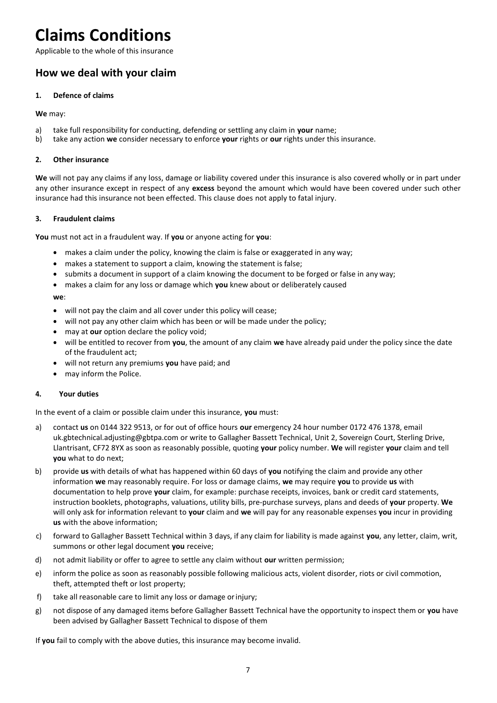### **Claims Conditions**

Applicable to the whole of this insurance

### **How we deal with your claim**

#### **1. Defence of claims**

**We** may:

- a) take full responsibility for conducting, defending or settling any claim in **your** name;
- b) take any action **we** consider necessary to enforce **your** rights or **our** rights under this insurance.

#### **2. Other insurance**

**We** will not pay any claims if any loss, damage or liability covered under this insurance is also covered wholly or in part under any other insurance except in respect of any **excess** beyond the amount which would have been covered under such other insurance had this insurance not been effected. This clause does not apply to fatal injury.

#### **3. Fraudulent claims**

**You** must not act in a fraudulent way. If **you** or anyone acting for **you**:

- makes a claim under the policy, knowing the claim is false or exaggerated in any way;
- makes a statement to support a claim, knowing the statement is false;
- submits a document in support of a claim knowing the document to be forged or false in any way;
- makes a claim for any loss or damage which **you** knew about or deliberately caused

**we**:

- will not pay the claim and all cover under this policy will cease;
- will not pay any other claim which has been or will be made under the policy;
- may at **our** option declare the policy void;
- will be entitled to recover from **you**, the amount of any claim **we** have already paid under the policy since the date of the fraudulent act;
- will not return any premiums **you** have paid; and
- may inform the Police.

#### **4. Your duties**

In the event of a claim or possible claim under this insurance, **you** must:

- a) contact **us** on 0144 322 9513, or for out of office hours **our** emergency 24 hour number 0172 476 1378, email [uk.gbtechnical.adjusting@gbtpa.c](mailto:claims@adjustingassociates.com)om or write to Gallagher Bassett Technical, Unit 2, Sovereign Court, Sterling Drive, Llantrisant, CF72 8YX as soon as reasonably possible, quoting **your** policy number. **We** will register **your** claim and tell **you** what to do next;
- b) provide **us** with details of what has happened within 60 days of **you** notifying the claim and provide any other information **we** may reasonably require. For loss or damage claims, **we** may require **you** to provide **us** with documentation to help prove **your** claim, for example: purchase receipts, invoices, bank or credit card statements, instruction booklets, photographs, valuations, utility bills, pre-purchase surveys, plans and deeds of **your** property. **We** will only ask for information relevant to **your** claim and **we** will pay for any reasonable expenses **you** incur in providing **us** with the above information;
- c) forward to Gallagher Bassett Technical within 3 days, if any claim for liability is made against **you**, any letter, claim, writ, summons or other legal document **you** receive;
- d) not admit liability or offer to agree to settle any claim without **our** written permission;
- e) inform the police as soon as reasonably possible following malicious acts, violent disorder, riots or civil commotion, theft, attempted theft or lost property;
- f) take all reasonable care to limit any loss or damage orinjury;
- g) not dispose of any damaged items before Gallagher Bassett Technical have the opportunity to inspect them or **you** have been advised by Gallagher Bassett Technical to dispose of them

If **you** fail to comply with the above duties, this insurance may become invalid.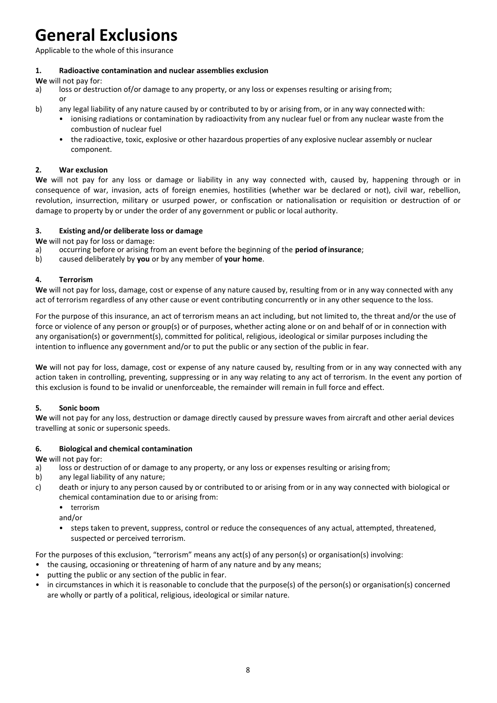# **General Exclusions**

Applicable to the whole of this insurance

#### **1. Radioactive contamination and nuclear assemblies exclusion**

**We** will not pay for:<br>a) loss or destru

- loss or destruction of/or damage to any property, or any loss or expenses resulting or arising from; or
- b) any legal liability of any nature caused by or contributed to by or arising from, or in any way connected with:
	- ionising radiations or contamination by radioactivity from any nuclear fuel or from any nuclear waste from the combustion of nuclear fuel
	- the radioactive, toxic, explosive or other hazardous properties of any explosive nuclear assembly or nuclear component.

#### **2. War exclusion**

**We** will not pay for any loss or damage or liability in any way connected with, caused by, happening through or in consequence of war, invasion, acts of foreign enemies, hostilities (whether war be declared or not), civil war, rebellion, revolution, insurrection, military or usurped power, or confiscation or nationalisation or requisition or destruction of or damage to property by or under the order of any government or public or local authority.

#### **3. Existing and/or deliberate loss or damage**

**We** will not pay for loss or damage:

- a) occurring before or arising from an event before the beginning of the **period ofinsurance**;
- b) caused deliberately by **you** or by any member of **your home**.

#### **4. Terrorism**

**We** will not pay for loss, damage, cost or expense of any nature caused by, resulting from or in any way connected with any act of terrorism regardless of any other cause or event contributing concurrently or in any other sequence to the loss.

For the purpose of this insurance, an act of terrorism means an act including, but not limited to, the threat and/or the use of force or violence of any person or group(s) or of purposes, whether acting alone or on and behalf of or in connection with any organisation(s) or government(s), committed for political, religious, ideological or similar purposes including the intention to influence any government and/or to put the public or any section of the public in fear.

**We** will not pay for loss, damage, cost or expense of any nature caused by, resulting from or in any way connected with any action taken in controlling, preventing, suppressing or in any way relating to any act of terrorism. In the event any portion of this exclusion is found to be invalid or unenforceable, the remainder will remain in full force and effect.

#### **5. Sonic boom**

**We** will not pay for any loss, destruction or damage directly caused by pressure waves from aircraft and other aerial devices travelling at sonic or supersonic speeds.

#### **6. Biological and chemical contamination**

**We** will not pay for:

- a) loss or destruction of or damage to any property, or any loss or expenses resulting or arising from;
- b) any legal liability of any nature;
- c) death or injury to any person caused by or contributed to or arising from or in any way connected with biological or chemical contamination due to or arising from:
	- terrorism
	- and/or
	- steps taken to prevent, suppress, control or reduce the consequences of any actual, attempted, threatened, suspected or perceived terrorism.

For the purposes of this exclusion, "terrorism" means any act(s) of any person(s) or organisation(s) involving:

- the causing, occasioning or threatening of harm of any nature and by any means;
- putting the public or any section of the public in fear.
- in circumstances in which it is reasonable to conclude that the purpose(s) of the person(s) or organisation(s) concerned are wholly or partly of a political, religious, ideological or similar nature.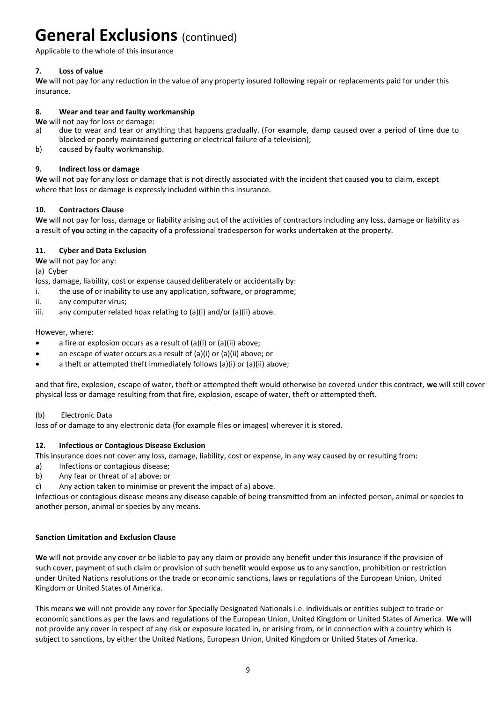### **General Exclusions (continued)**

Applicable to the whole of this insurance

#### **7. Loss of value**

**We** will not pay for any reduction in the value of any property insured following repair or replacements paid for under this insurance.

#### **8. Wear and tear and faulty workmanship**

- **We** will not pay for loss or damage:<br>a) due to wear and tear or any due to wear and tear or anything that happens gradually. (For example, damp caused over a period of time due to blocked or poorly maintained guttering or electrical failure of a television);
- b) caused by faulty workmanship.

#### **9. Indirect loss or damage**

**We** will not pay for any loss or damage that is not directly associated with the incident that caused **you** to claim, except where that loss or damage is expressly included within this insurance.

#### **10. Contractors Clause**

**We** will not pay for loss, damage or liability arising out of the activities of contractors including any loss, damage or liability as a result of **you** acting in the capacity of a professional tradesperson for works undertaken at the property.

#### **11. Cyber and Data Exclusion**

**We** will not pay for any:

(a) Cyber

loss, damage, liability, cost or expense caused deliberately or accidentally by:

- i. the use of or inability to use any application, software, or programme;
- ii. any computer virus;
- iii. any computer related hoax relating to (a)(i) and/or (a)(ii) above.

#### However, where:

- a fire or explosion occurs as a result of  $(a)(i)$  or  $(a)(ii)$  above;
- an escape of water occurs as a result of  $(a)(i)$  or  $(a)(ii)$  above; or
- a theft or attempted theft immediately follows (a)(i) or (a)(ii) above;

and that fire, explosion, escape of water, theft or attempted theft would otherwise be covered under this contract, **we** will still cover physical loss or damage resulting from that fire, explosion, escape of water, theft or attempted theft.

#### (b) Electronic Data

loss of or damage to any electronic data (for example files or images) wherever it is stored.

#### **12. Infectious or Contagious Disease Exclusion**

This insurance does not cover any loss, damage, liability, cost or expense, in any way caused by or resulting from:

- a) Infections or contagious disease;
- b) Any fear or threat of a) above; or
- c) Any action taken to minimise or prevent the impact of a) above.

Infectious or contagious disease means any disease capable of being transmitted from an infected person, animal or species to another person, animal or species by any means.

#### **Sanction Limitation and Exclusion Clause**

**We** will not provide any cover or be liable to pay any claim or provide any benefit under this insurance if the provision of such cover, payment of such claim or provision of such benefit would expose **us** to any sanction, prohibition or restriction under United Nations resolutions or the trade or economic sanctions, laws or regulations of the European Union, United Kingdom or United States of America.

This means **we** will not provide any cover for Specially Designated Nationals i.e. individuals or entities subject to trade or economic sanctions as per the laws and regulations of the European Union, United Kingdom or United States of America. **We** will not provide any cover in respect of any risk or exposure located in, or arising from, or in connection with a country which is subject to sanctions, by either the United Nations, European Union, United Kingdom or United States of America.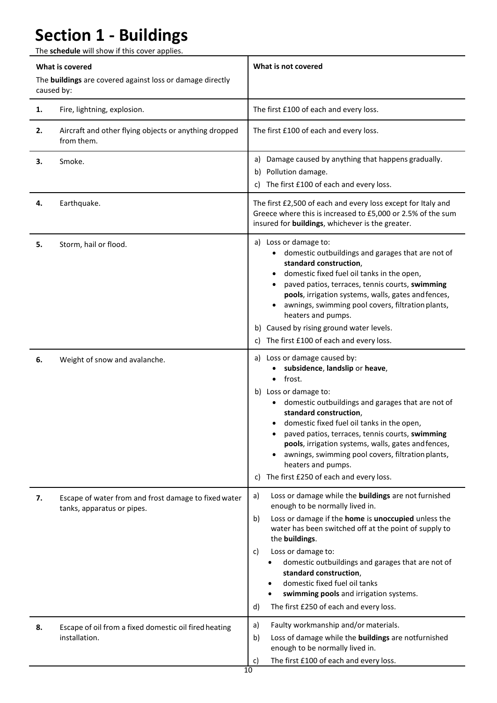# **Section 1 - Buildings**

The **schedule** will show if this cover applies.

| What is covered<br>The buildings are covered against loss or damage directly<br>caused by: |                                                                                    | What is not covered                                                                                                                                                                                                                                                                                                                                                                                                                                                         |
|--------------------------------------------------------------------------------------------|------------------------------------------------------------------------------------|-----------------------------------------------------------------------------------------------------------------------------------------------------------------------------------------------------------------------------------------------------------------------------------------------------------------------------------------------------------------------------------------------------------------------------------------------------------------------------|
| 1.                                                                                         | Fire, lightning, explosion.                                                        | The first £100 of each and every loss.                                                                                                                                                                                                                                                                                                                                                                                                                                      |
| 2.                                                                                         | Aircraft and other flying objects or anything dropped<br>from them.                | The first £100 of each and every loss.                                                                                                                                                                                                                                                                                                                                                                                                                                      |
| 3.                                                                                         | Smoke.                                                                             | Damage caused by anything that happens gradually.<br>a)<br>b) Pollution damage.<br>The first £100 of each and every loss.<br>C)                                                                                                                                                                                                                                                                                                                                             |
| 4.                                                                                         | Earthquake.                                                                        | The first £2,500 of each and every loss except for Italy and<br>Greece where this is increased to £5,000 or 2.5% of the sum<br>insured for buildings, whichever is the greater.                                                                                                                                                                                                                                                                                             |
| 5.                                                                                         | Storm, hail or flood.                                                              | a) Loss or damage to:<br>domestic outbuildings and garages that are not of<br>standard construction,<br>domestic fixed fuel oil tanks in the open,<br>paved patios, terraces, tennis courts, swimming<br>pools, irrigation systems, walls, gates and fences,<br>awnings, swimming pool covers, filtration plants,<br>heaters and pumps.<br>b) Caused by rising ground water levels.<br>The first £100 of each and every loss.<br>C)                                         |
| 6.                                                                                         | Weight of snow and avalanche.                                                      | a) Loss or damage caused by:<br>subsidence, landslip or heave,<br>frost.<br>b) Loss or damage to:<br>domestic outbuildings and garages that are not of<br>standard construction,<br>domestic fixed fuel oil tanks in the open,<br>paved patios, terraces, tennis courts, swimming<br>pools, irrigation systems, walls, gates and fences,<br>awnings, swimming pool covers, filtration plants,<br>heaters and pumps.<br>The first £250 of each and every loss.<br>C)         |
| 7.                                                                                         | Escape of water from and frost damage to fixed water<br>tanks, apparatus or pipes. | Loss or damage while the buildings are not furnished<br>a)<br>enough to be normally lived in.<br>Loss or damage if the home is unoccupied unless the<br>b)<br>water has been switched off at the point of supply to<br>the buildings.<br>Loss or damage to:<br>c)<br>domestic outbuildings and garages that are not of<br>standard construction,<br>domestic fixed fuel oil tanks<br>swimming pools and irrigation systems.<br>The first £250 of each and every loss.<br>d) |
| 8.                                                                                         | Escape of oil from a fixed domestic oil fired heating<br>installation.             | Faulty workmanship and/or materials.<br>a)<br>Loss of damage while the buildings are notfurnished<br>b)<br>enough to be normally lived in.<br>The first £100 of each and every loss.<br>C)                                                                                                                                                                                                                                                                                  |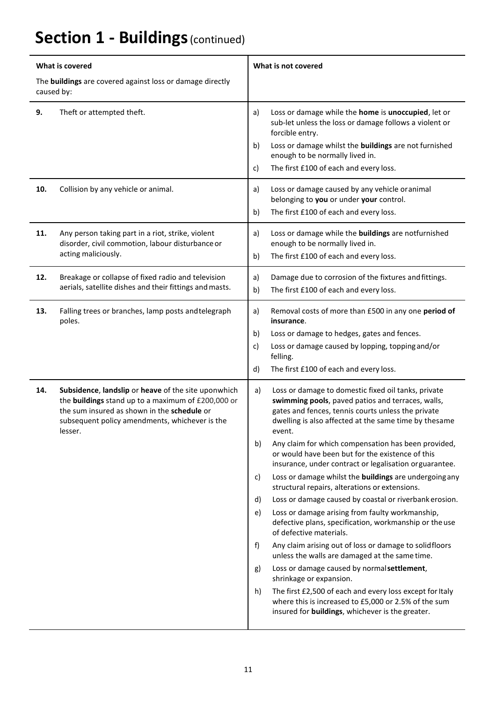# **Section 1 - Buildings (continued)**

| What is covered                                                         |                                                                                                                                                                                                                       | What is not covered                                                                                                                                                                                                                                                                                                                                                                                                                                                                                                                                                                                                                                                                                                                                                                                                                                                                                                                                                                                                                                                                                                                               |  |
|-------------------------------------------------------------------------|-----------------------------------------------------------------------------------------------------------------------------------------------------------------------------------------------------------------------|---------------------------------------------------------------------------------------------------------------------------------------------------------------------------------------------------------------------------------------------------------------------------------------------------------------------------------------------------------------------------------------------------------------------------------------------------------------------------------------------------------------------------------------------------------------------------------------------------------------------------------------------------------------------------------------------------------------------------------------------------------------------------------------------------------------------------------------------------------------------------------------------------------------------------------------------------------------------------------------------------------------------------------------------------------------------------------------------------------------------------------------------------|--|
| The buildings are covered against loss or damage directly<br>caused by: |                                                                                                                                                                                                                       |                                                                                                                                                                                                                                                                                                                                                                                                                                                                                                                                                                                                                                                                                                                                                                                                                                                                                                                                                                                                                                                                                                                                                   |  |
| 9.                                                                      | Theft or attempted theft.                                                                                                                                                                                             | Loss or damage while the home is unoccupied, let or<br>a)<br>sub-let unless the loss or damage follows a violent or<br>forcible entry.<br>Loss or damage whilst the buildings are not furnished<br>b)<br>enough to be normally lived in.<br>The first £100 of each and every loss.<br>c)                                                                                                                                                                                                                                                                                                                                                                                                                                                                                                                                                                                                                                                                                                                                                                                                                                                          |  |
| 10.                                                                     | Collision by any vehicle or animal.                                                                                                                                                                                   | Loss or damage caused by any vehicle or animal<br>a)<br>belonging to you or under your control.<br>The first £100 of each and every loss.<br>b)                                                                                                                                                                                                                                                                                                                                                                                                                                                                                                                                                                                                                                                                                                                                                                                                                                                                                                                                                                                                   |  |
| 11.                                                                     | Any person taking part in a riot, strike, violent<br>disorder, civil commotion, labour disturbance or<br>acting maliciously.                                                                                          | Loss or damage while the buildings are notfurnished<br>a)<br>enough to be normally lived in.<br>The first £100 of each and every loss.<br>b)                                                                                                                                                                                                                                                                                                                                                                                                                                                                                                                                                                                                                                                                                                                                                                                                                                                                                                                                                                                                      |  |
| 12.                                                                     | Breakage or collapse of fixed radio and television<br>aerials, satellite dishes and their fittings and masts.                                                                                                         | a)<br>Damage due to corrosion of the fixtures and fittings.<br>The first £100 of each and every loss.<br>b)                                                                                                                                                                                                                                                                                                                                                                                                                                                                                                                                                                                                                                                                                                                                                                                                                                                                                                                                                                                                                                       |  |
| 13.                                                                     | Falling trees or branches, lamp posts and telegraph<br>poles.                                                                                                                                                         | Removal costs of more than £500 in any one period of<br>a)<br>insurance.<br>Loss or damage to hedges, gates and fences.<br>b)<br>Loss or damage caused by lopping, topping and/or<br>c)<br>felling.<br>The first £100 of each and every loss.<br>d)                                                                                                                                                                                                                                                                                                                                                                                                                                                                                                                                                                                                                                                                                                                                                                                                                                                                                               |  |
| 14.                                                                     | Subsidence, landslip or heave of the site uponwhich<br>the buildings stand up to a maximum of £200,000 or<br>the sum insured as shown in the schedule or<br>subsequent policy amendments, whichever is the<br>lesser. | Loss or damage to domestic fixed oil tanks, private<br>a)<br>swimming pools, paved patios and terraces, walls,<br>gates and fences, tennis courts unless the private<br>dwelling is also affected at the same time by thesame<br>event.<br>b)<br>Any claim for which compensation has been provided,<br>or would have been but for the existence of this<br>insurance, under contract or legalisation orguarantee.<br>Loss or damage whilst the <b>buildings</b> are undergoing any<br>c)<br>structural repairs, alterations or extensions.<br>Loss or damage caused by coastal or riverbank erosion.<br>d)<br>Loss or damage arising from faulty workmanship,<br>e)<br>defective plans, specification, workmanship or the use<br>of defective materials.<br>f)<br>Any claim arising out of loss or damage to solidfloors<br>unless the walls are damaged at the same time.<br>Loss or damage caused by normal settlement,<br>g)<br>shrinkage or expansion.<br>h)<br>The first £2,500 of each and every loss except for Italy<br>where this is increased to £5,000 or 2.5% of the sum<br>insured for <b>buildings</b> , whichever is the greater. |  |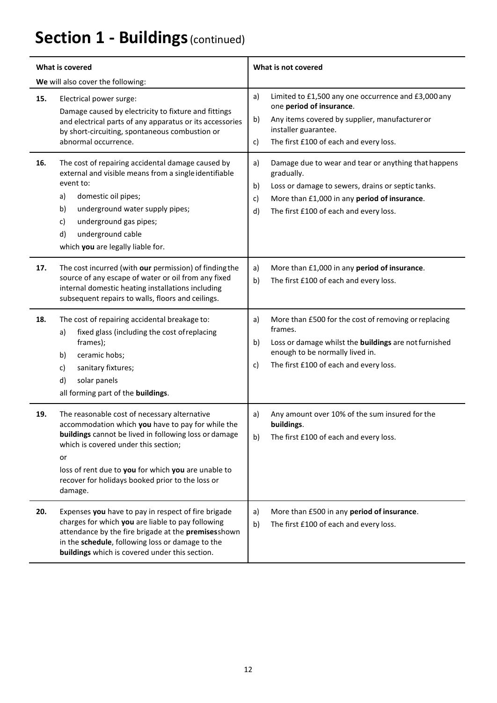# **Section 1 - Buildings (continued)**

| <b>What is covered</b>            |                                                                                                                                                                                                                                                                                                                                | What is not covered                                                                                                                                                                                                                       |
|-----------------------------------|--------------------------------------------------------------------------------------------------------------------------------------------------------------------------------------------------------------------------------------------------------------------------------------------------------------------------------|-------------------------------------------------------------------------------------------------------------------------------------------------------------------------------------------------------------------------------------------|
| We will also cover the following: |                                                                                                                                                                                                                                                                                                                                |                                                                                                                                                                                                                                           |
| 15.                               | Electrical power surge:<br>Damage caused by electricity to fixture and fittings<br>and electrical parts of any apparatus or its accessories<br>by short-circuiting, spontaneous combustion or<br>abnormal occurrence.                                                                                                          | Limited to £1,500 any one occurrence and £3,000 any<br>a)<br>one period of insurance.<br>Any items covered by supplier, manufacturer or<br>b)<br>installer guarantee.<br>The first £100 of each and every loss.<br>c)                     |
| 16.                               | The cost of repairing accidental damage caused by<br>external and visible means from a single identifiable<br>event to:<br>a)<br>domestic oil pipes;<br>underground water supply pipes;<br>b)<br>underground gas pipes;<br>c)<br>underground cable<br>d)<br>which you are legally liable for.                                  | Damage due to wear and tear or anything that happens<br>a)<br>gradually.<br>Loss or damage to sewers, drains or septic tanks.<br>b)<br>More than £1,000 in any period of insurance.<br>c)<br>The first £100 of each and every loss.<br>d) |
| 17.                               | The cost incurred (with our permission) of finding the<br>source of any escape of water or oil from any fixed<br>internal domestic heating installations including<br>subsequent repairs to walls, floors and ceilings.                                                                                                        | More than £1,000 in any period of insurance.<br>a)<br>The first £100 of each and every loss.<br>b)                                                                                                                                        |
| 18.                               | The cost of repairing accidental breakage to:<br>fixed glass (including the cost of replacing<br>a)<br>frames);<br>ceramic hobs;<br>b)<br>sanitary fixtures;<br>c)<br>d)<br>solar panels<br>all forming part of the buildings.                                                                                                 | More than £500 for the cost of removing or replacing<br>a)<br>frames.<br>Loss or damage whilst the buildings are not furnished<br>b)<br>enough to be normally lived in.<br>The first £100 of each and every loss.<br>c)                   |
| 19.                               | The reasonable cost of necessary alternative<br>accommodation which you have to pay for while the<br>buildings cannot be lived in following loss or damage<br>which is covered under this section;<br>or<br>loss of rent due to you for which you are unable to<br>recover for holidays booked prior to the loss or<br>damage. | Any amount over 10% of the sum insured for the<br>a)<br>buildings.<br>b)<br>The first £100 of each and every loss.                                                                                                                        |
| 20.                               | Expenses you have to pay in respect of fire brigade<br>charges for which you are liable to pay following<br>attendance by the fire brigade at the premises shown<br>in the schedule, following loss or damage to the<br>buildings which is covered under this section.                                                         | More than £500 in any period of insurance.<br>a)<br>The first £100 of each and every loss.<br>b)                                                                                                                                          |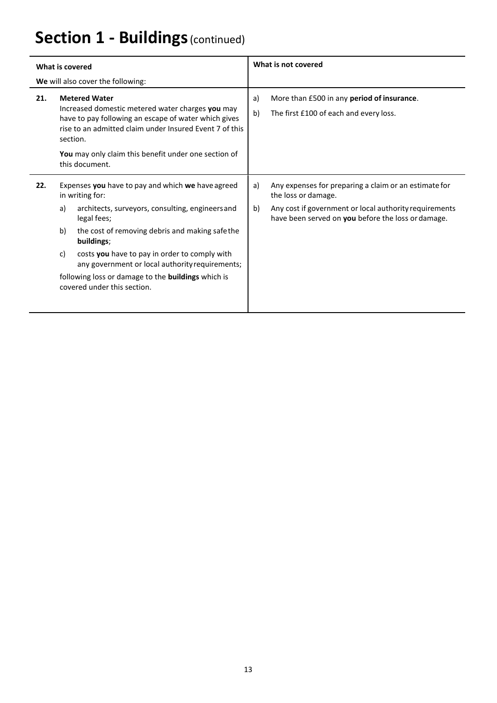# **Section 1 - Buildings (continued)**

| <b>What is covered</b>                                                            |                |                                                                                                                                                                                                                                                                                                              | What is not covered |                                                                                                                                                                                              |
|-----------------------------------------------------------------------------------|----------------|--------------------------------------------------------------------------------------------------------------------------------------------------------------------------------------------------------------------------------------------------------------------------------------------------------------|---------------------|----------------------------------------------------------------------------------------------------------------------------------------------------------------------------------------------|
| We will also cover the following:                                                 |                |                                                                                                                                                                                                                                                                                                              |                     |                                                                                                                                                                                              |
| 21.                                                                               |                | <b>Metered Water</b><br>Increased domestic metered water charges you may<br>have to pay following an escape of water which gives<br>rise to an admitted claim under Insured Event 7 of this<br>section.<br>You may only claim this benefit under one section of<br>this document.                            | a)<br>b)            | More than £500 in any period of insurance.<br>The first £100 of each and every loss.                                                                                                         |
| 22.                                                                               | a)<br>b)<br>c) | Expenses you have to pay and which we have agreed<br>in writing for:<br>architects, surveyors, consulting, engineers and<br>legal fees;<br>the cost of removing debris and making safe the<br>buildings;<br>costs you have to pay in order to comply with<br>any government or local authority requirements; | a)<br>b)            | Any expenses for preparing a claim or an estimate for<br>the loss or damage.<br>Any cost if government or local authority requirements<br>have been served on you before the loss or damage. |
| following loss or damage to the buildings which is<br>covered under this section. |                |                                                                                                                                                                                                                                                                                                              |                     |                                                                                                                                                                                              |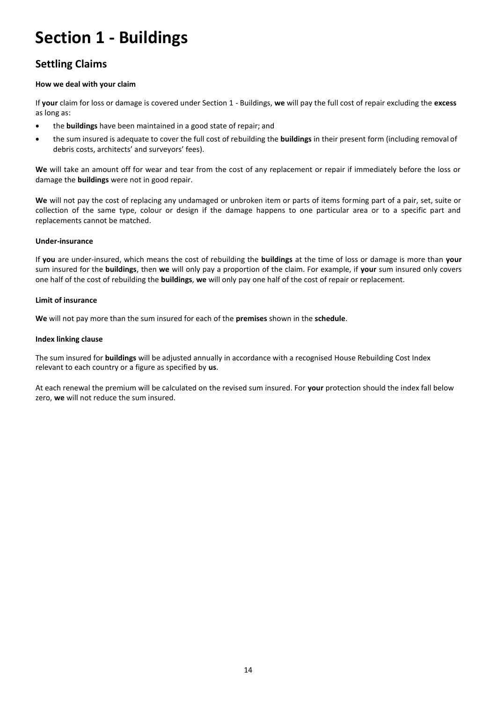# **Section 1 - Buildings**

### **Settling Claims**

#### **How we deal with your claim**

If **your** claim for loss or damage is covered under Section 1 - Buildings, **we** will pay the full cost of repair excluding the **excess** as long as:

- the **buildings** have been maintained in a good state of repair; and
- the sum insured is adequate to cover the full cost of rebuilding the **buildings** in their present form (including removal of debris costs, architects' and surveyors' fees).

**We** will take an amount off for wear and tear from the cost of any replacement or repair if immediately before the loss or damage the **buildings** were not in good repair.

**We** will not pay the cost of replacing any undamaged or unbroken item or parts of items forming part of a pair, set, suite or collection of the same type, colour or design if the damage happens to one particular area or to a specific part and replacements cannot be matched.

#### **Under-insurance**

If **you** are under-insured, which means the cost of rebuilding the **buildings** at the time of loss or damage is more than **your**  sum insured for the **buildings**, then **we** will only pay a proportion of the claim. For example, if **your** sum insured only covers one half of the cost of rebuilding the **buildings**, **we** will only pay one half of the cost of repair or replacement.

#### **Limit of insurance**

**We** will not pay more than the sum insured for each of the **premises** shown in the **schedule**.

#### **Index linking clause**

The sum insured for **buildings** will be adjusted annually in accordance with a recognised House Rebuilding Cost Index relevant to each country or a figure as specified by **us**.

At each renewal the premium will be calculated on the revised sum insured. For **your** protection should the index fall below zero, **we** will not reduce the sum insured.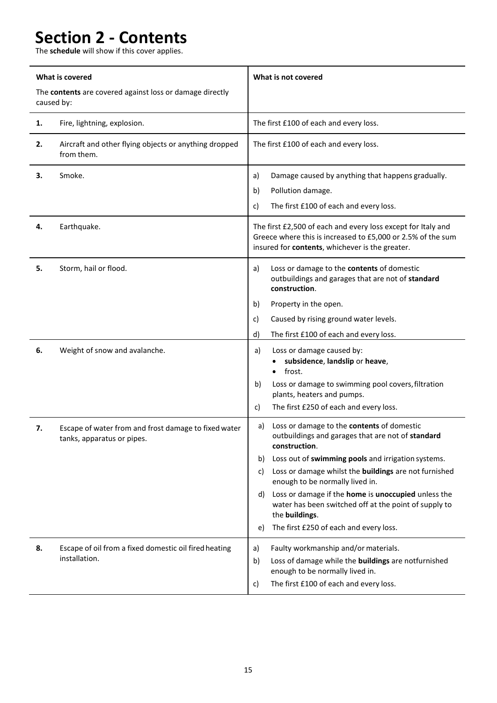# **Section 2 - Contents**

The **schedule** will show if this cover applies.

| What is covered<br>The contents are covered against loss or damage directly<br>caused by: |                                                                                    | What is not covered                                                                                                                                                                                                                                                                                                                                                                                                                                                          |
|-------------------------------------------------------------------------------------------|------------------------------------------------------------------------------------|------------------------------------------------------------------------------------------------------------------------------------------------------------------------------------------------------------------------------------------------------------------------------------------------------------------------------------------------------------------------------------------------------------------------------------------------------------------------------|
| 1.                                                                                        | Fire, lightning, explosion.                                                        | The first £100 of each and every loss.                                                                                                                                                                                                                                                                                                                                                                                                                                       |
| 2.                                                                                        | Aircraft and other flying objects or anything dropped<br>from them.                | The first £100 of each and every loss.                                                                                                                                                                                                                                                                                                                                                                                                                                       |
| 3.                                                                                        | Smoke.                                                                             | Damage caused by anything that happens gradually.<br>a)<br>Pollution damage.<br>b)<br>The first £100 of each and every loss.<br>c)                                                                                                                                                                                                                                                                                                                                           |
| 4.                                                                                        | Earthquake.                                                                        | The first £2,500 of each and every loss except for Italy and<br>Greece where this is increased to £5,000 or 2.5% of the sum<br>insured for contents, whichever is the greater.                                                                                                                                                                                                                                                                                               |
| 5.                                                                                        | Storm, hail or flood.                                                              | Loss or damage to the contents of domestic<br>a)<br>outbuildings and garages that are not of standard<br>construction.<br>Property in the open.<br>b)<br>Caused by rising ground water levels.<br>c)<br>The first £100 of each and every loss.<br>d)                                                                                                                                                                                                                         |
| 6.                                                                                        | Weight of snow and avalanche.                                                      | Loss or damage caused by:<br>a)<br>subsidence, landslip or heave,<br>frost.<br>Loss or damage to swimming pool covers, filtration<br>b)<br>plants, heaters and pumps.<br>The first £250 of each and every loss.<br>c)                                                                                                                                                                                                                                                        |
| 7.                                                                                        | Escape of water from and frost damage to fixed water<br>tanks, apparatus or pipes. | Loss or damage to the contents of domestic<br>a)<br>outbuildings and garages that are not of standard<br>construction.<br>Loss out of swimming pools and irrigation systems.<br>b)<br>Loss or damage whilst the buildings are not furnished<br>C)<br>enough to be normally lived in.<br>Loss or damage if the home is unoccupied unless the<br>d)<br>water has been switched off at the point of supply to<br>the buildings.<br>The first £250 of each and every loss.<br>e) |
| 8.                                                                                        | Escape of oil from a fixed domestic oil fired heating<br>installation.             | Faulty workmanship and/or materials.<br>a)<br>Loss of damage while the buildings are notfurnished<br>b)<br>enough to be normally lived in.<br>The first £100 of each and every loss.<br>c)                                                                                                                                                                                                                                                                                   |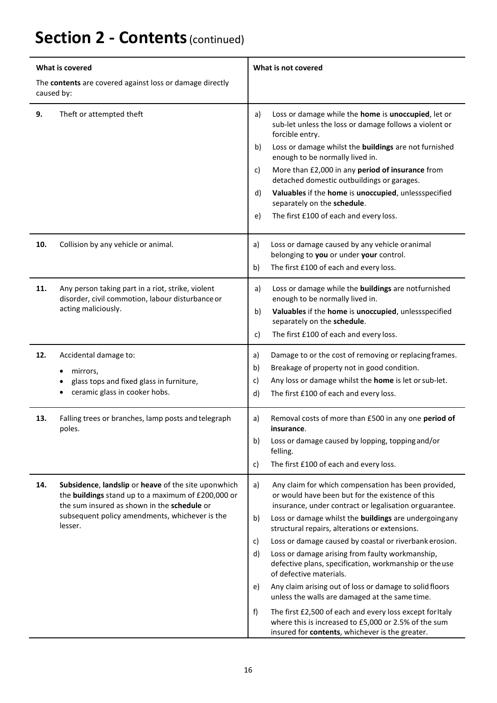## **Section 2 - Contents**(continued)

| What is covered                                                        |                                                                                                                                                                                                                       | What is not covered                                                                                                                                                       |  |
|------------------------------------------------------------------------|-----------------------------------------------------------------------------------------------------------------------------------------------------------------------------------------------------------------------|---------------------------------------------------------------------------------------------------------------------------------------------------------------------------|--|
| The contents are covered against loss or damage directly<br>caused by: |                                                                                                                                                                                                                       |                                                                                                                                                                           |  |
| 9.                                                                     | Theft or attempted theft                                                                                                                                                                                              | Loss or damage while the home is unoccupied, let or<br>a)<br>sub-let unless the loss or damage follows a violent or<br>forcible entry.                                    |  |
|                                                                        |                                                                                                                                                                                                                       | Loss or damage whilst the buildings are not furnished<br>b)<br>enough to be normally lived in.                                                                            |  |
|                                                                        |                                                                                                                                                                                                                       | More than £2,000 in any period of insurance from<br>c)<br>detached domestic outbuildings or garages.                                                                      |  |
|                                                                        |                                                                                                                                                                                                                       | Valuables if the home is unoccupied, unlessspecified<br>d)<br>separately on the schedule.                                                                                 |  |
|                                                                        |                                                                                                                                                                                                                       | The first £100 of each and every loss.<br>e)                                                                                                                              |  |
| 10.                                                                    | Collision by any vehicle or animal.                                                                                                                                                                                   | Loss or damage caused by any vehicle or animal<br>a)<br>belonging to you or under your control.                                                                           |  |
|                                                                        |                                                                                                                                                                                                                       | The first £100 of each and every loss.<br>b)                                                                                                                              |  |
| 11.                                                                    | Any person taking part in a riot, strike, violent<br>disorder, civil commotion, labour disturbance or<br>acting maliciously.                                                                                          | Loss or damage while the buildings are notfurnished<br>a)<br>enough to be normally lived in.                                                                              |  |
|                                                                        |                                                                                                                                                                                                                       | Valuables if the home is unoccupied, unlessspecified<br>b)                                                                                                                |  |
|                                                                        |                                                                                                                                                                                                                       | separately on the schedule.<br>The first £100 of each and every loss.<br>c)                                                                                               |  |
| 12.                                                                    | Accidental damage to:                                                                                                                                                                                                 | Damage to or the cost of removing or replacing frames.<br>a)                                                                                                              |  |
|                                                                        | mirrors,<br>glass tops and fixed glass in furniture,                                                                                                                                                                  | Breakage of property not in good condition.<br>b)                                                                                                                         |  |
|                                                                        |                                                                                                                                                                                                                       | Any loss or damage whilst the home is let or sub-let.<br>c)                                                                                                               |  |
|                                                                        | ceramic glass in cooker hobs.                                                                                                                                                                                         | d)<br>The first £100 of each and every loss.                                                                                                                              |  |
| 13.                                                                    | Falling trees or branches, lamp posts and telegraph<br>poles.                                                                                                                                                         | Removal costs of more than £500 in any one period of<br>a)<br>insurance.                                                                                                  |  |
|                                                                        |                                                                                                                                                                                                                       | Loss or damage caused by lopping, topping and/or<br>b)<br>felling.                                                                                                        |  |
|                                                                        |                                                                                                                                                                                                                       | The first £100 of each and every loss.<br>c)                                                                                                                              |  |
| 14.                                                                    | Subsidence, landslip or heave of the site uponwhich<br>the buildings stand up to a maximum of £200,000 or<br>the sum insured as shown in the schedule or<br>subsequent policy amendments, whichever is the<br>lesser. | Any claim for which compensation has been provided,<br>a)<br>or would have been but for the existence of this<br>insurance, under contract or legalisation orguarantee.   |  |
|                                                                        |                                                                                                                                                                                                                       | b)<br>Loss or damage whilst the <b>buildings</b> are undergoingany<br>structural repairs, alterations or extensions.                                                      |  |
|                                                                        |                                                                                                                                                                                                                       | Loss or damage caused by coastal or riverbank erosion.<br>c)                                                                                                              |  |
|                                                                        |                                                                                                                                                                                                                       | d)<br>Loss or damage arising from faulty workmanship,<br>defective plans, specification, workmanship or the use<br>of defective materials.                                |  |
|                                                                        |                                                                                                                                                                                                                       | Any claim arising out of loss or damage to solid floors<br>e)<br>unless the walls are damaged at the same time.                                                           |  |
|                                                                        |                                                                                                                                                                                                                       | f)<br>The first £2,500 of each and every loss except for Italy<br>where this is increased to £5,000 or 2.5% of the sum<br>insured for contents, whichever is the greater. |  |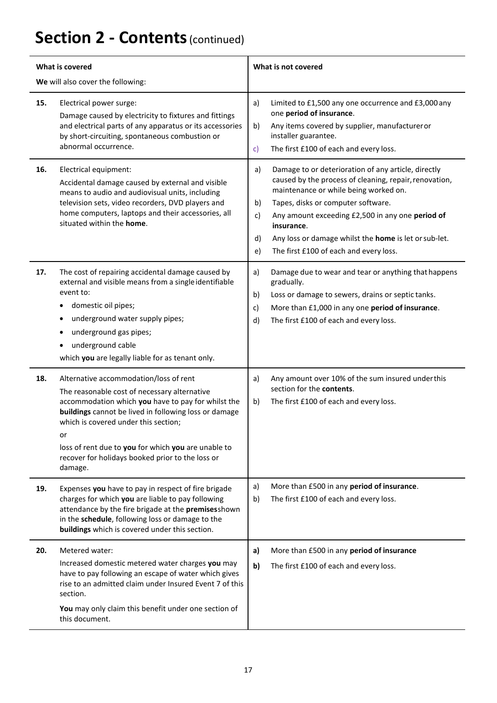# **Section 2 - Contents**(continued)

| What is covered                   |                                                                                                                                                                                                                                                                                                                                                                           | What is not covered                                                                                                                                                                                                                                                                                                                                                                             |  |
|-----------------------------------|---------------------------------------------------------------------------------------------------------------------------------------------------------------------------------------------------------------------------------------------------------------------------------------------------------------------------------------------------------------------------|-------------------------------------------------------------------------------------------------------------------------------------------------------------------------------------------------------------------------------------------------------------------------------------------------------------------------------------------------------------------------------------------------|--|
| We will also cover the following: |                                                                                                                                                                                                                                                                                                                                                                           |                                                                                                                                                                                                                                                                                                                                                                                                 |  |
| 15.                               | Electrical power surge:<br>Damage caused by electricity to fixtures and fittings<br>and electrical parts of any apparatus or its accessories<br>by short-circuiting, spontaneous combustion or<br>abnormal occurrence.                                                                                                                                                    | a)<br>Limited to £1,500 any one occurrence and £3,000 any<br>one period of insurance.<br>Any items covered by supplier, manufactureror<br>b)<br>installer guarantee.<br>The first £100 of each and every loss.<br>$\mathsf{C}$                                                                                                                                                                  |  |
| 16.                               | Electrical equipment:<br>Accidental damage caused by external and visible<br>means to audio and audiovisual units, including<br>television sets, video recorders, DVD players and<br>home computers, laptops and their accessories, all<br>situated within the home.                                                                                                      | Damage to or deterioration of any article, directly<br>a)<br>caused by the process of cleaning, repair, renovation,<br>maintenance or while being worked on.<br>Tapes, disks or computer software.<br>b)<br>Any amount exceeding £2,500 in any one period of<br>c)<br>insurance.<br>Any loss or damage whilst the home is let or sub-let.<br>d)<br>The first £100 of each and every loss.<br>e) |  |
| 17.                               | The cost of repairing accidental damage caused by<br>external and visible means from a single identifiable<br>event to:<br>domestic oil pipes;<br>underground water supply pipes;<br>underground gas pipes;<br>underground cable<br>which you are legally liable for as tenant only.                                                                                      | Damage due to wear and tear or anything that happens<br>a)<br>gradually.<br>Loss or damage to sewers, drains or septic tanks.<br>b)<br>More than £1,000 in any one period of insurance.<br>c)<br>The first £100 of each and every loss.<br>d)                                                                                                                                                   |  |
| 18.                               | Alternative accommodation/loss of rent<br>The reasonable cost of necessary alternative<br>accommodation which you have to pay for whilst the<br>buildings cannot be lived in following loss or damage<br>which is covered under this section;<br>or<br>loss of rent due to you for which you are unable to<br>recover for holidays booked prior to the loss or<br>damage. | Any amount over 10% of the sum insured underthis<br>a)<br>section for the contents.<br>The first £100 of each and every loss.<br>b)                                                                                                                                                                                                                                                             |  |
| 19.                               | Expenses you have to pay in respect of fire brigade<br>charges for which you are liable to pay following<br>attendance by the fire brigade at the premises shown<br>in the schedule, following loss or damage to the<br>buildings which is covered under this section.                                                                                                    | More than £500 in any period of insurance.<br>a)<br>b)<br>The first £100 of each and every loss.                                                                                                                                                                                                                                                                                                |  |
| 20.                               | Metered water:<br>Increased domestic metered water charges you may<br>have to pay following an escape of water which gives<br>rise to an admitted claim under Insured Event 7 of this<br>section.<br>You may only claim this benefit under one section of<br>this document.                                                                                               | More than £500 in any period of insurance<br>a)<br>b)<br>The first £100 of each and every loss.                                                                                                                                                                                                                                                                                                 |  |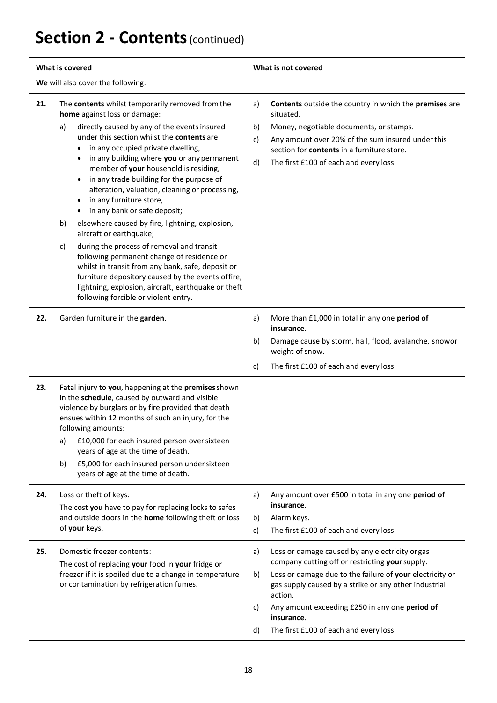## **Section 2 - Contents**(continued)

| What is covered                   |                                                                                                                                                                                                                                                                                                                                                                                                                                                                                                                                                                                                                                                                                                                                                                                                                                                                                                                      | What is not covered                                                                                                                                                                                                                                                                                                                                                 |
|-----------------------------------|----------------------------------------------------------------------------------------------------------------------------------------------------------------------------------------------------------------------------------------------------------------------------------------------------------------------------------------------------------------------------------------------------------------------------------------------------------------------------------------------------------------------------------------------------------------------------------------------------------------------------------------------------------------------------------------------------------------------------------------------------------------------------------------------------------------------------------------------------------------------------------------------------------------------|---------------------------------------------------------------------------------------------------------------------------------------------------------------------------------------------------------------------------------------------------------------------------------------------------------------------------------------------------------------------|
| We will also cover the following: |                                                                                                                                                                                                                                                                                                                                                                                                                                                                                                                                                                                                                                                                                                                                                                                                                                                                                                                      |                                                                                                                                                                                                                                                                                                                                                                     |
| 21.                               | The contents whilst temporarily removed from the<br>home against loss or damage:<br>directly caused by any of the events insured<br>a)<br>under this section whilst the contents are:<br>in any occupied private dwelling,<br>in any building where you or any permanent<br>٠<br>member of your household is residing,<br>in any trade building for the purpose of<br>$\bullet$<br>alteration, valuation, cleaning or processing,<br>in any furniture store,<br>$\bullet$<br>in any bank or safe deposit;<br>$\bullet$<br>elsewhere caused by fire, lightning, explosion,<br>b)<br>aircraft or earthquake;<br>during the process of removal and transit<br>c)<br>following permanent change of residence or<br>whilst in transit from any bank, safe, deposit or<br>furniture depository caused by the events offire,<br>lightning, explosion, aircraft, earthquake or theft<br>following forcible or violent entry. | Contents outside the country in which the premises are<br>a)<br>situated.<br>b)<br>Money, negotiable documents, or stamps.<br>Any amount over 20% of the sum insured under this<br>c)<br>section for contents in a furniture store.<br>d)<br>The first £100 of each and every loss.                                                                                 |
| 22.                               | Garden furniture in the garden.                                                                                                                                                                                                                                                                                                                                                                                                                                                                                                                                                                                                                                                                                                                                                                                                                                                                                      | More than £1,000 in total in any one period of<br>a)<br>insurance.<br>Damage cause by storm, hail, flood, avalanche, snowor<br>b)<br>weight of snow.<br>The first £100 of each and every loss.<br>c)                                                                                                                                                                |
| 23.                               | Fatal injury to you, happening at the premises shown<br>in the schedule, caused by outward and visible<br>violence by burglars or by fire provided that death<br>ensues within 12 months of such an injury, for the<br>following amounts:<br>£10,000 for each insured person over sixteen<br>a)<br>years of age at the time of death.<br>£5,000 for each insured person under sixteen<br>b)<br>years of age at the time of death.                                                                                                                                                                                                                                                                                                                                                                                                                                                                                    |                                                                                                                                                                                                                                                                                                                                                                     |
| 24.                               | Loss or theft of keys:<br>The cost you have to pay for replacing locks to safes<br>and outside doors in the home following theft or loss<br>of your keys.                                                                                                                                                                                                                                                                                                                                                                                                                                                                                                                                                                                                                                                                                                                                                            | Any amount over £500 in total in any one period of<br>a)<br>insurance.<br>Alarm keys.<br>b)<br>The first £100 of each and every loss.<br>c)                                                                                                                                                                                                                         |
| 25.                               | Domestic freezer contents:<br>The cost of replacing your food in your fridge or<br>freezer if it is spoiled due to a change in temperature<br>or contamination by refrigeration fumes.                                                                                                                                                                                                                                                                                                                                                                                                                                                                                                                                                                                                                                                                                                                               | Loss or damage caused by any electricity orgas<br>a)<br>company cutting off or restricting your supply.<br>Loss or damage due to the failure of your electricity or<br>b)<br>gas supply caused by a strike or any other industrial<br>action.<br>Any amount exceeding £250 in any one period of<br>c)<br>insurance.<br>The first £100 of each and every loss.<br>d) |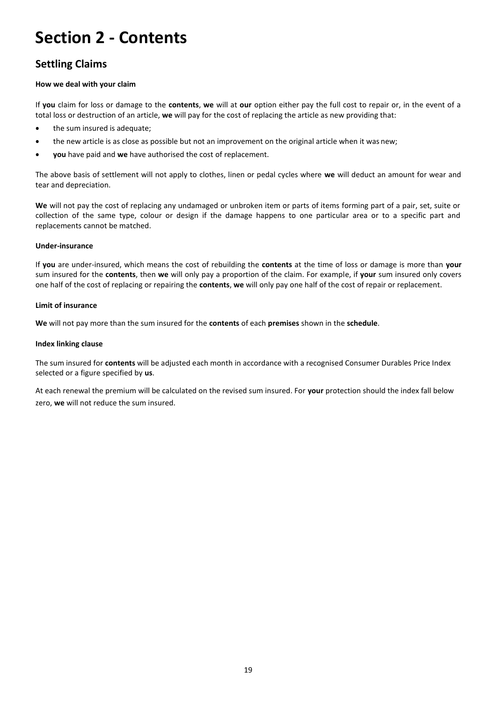## **Section 2 - Contents**

### **Settling Claims**

#### **How we deal with your claim**

If **you** claim for loss or damage to the **contents**, **we** will at **our** option either pay the full cost to repair or, in the event of a total loss or destruction of an article, **we** will pay for the cost of replacing the article as new providing that:

- the sum insured is adequate;
- the new article is as close as possible but not an improvement on the original article when it was new;
- **you** have paid and **we** have authorised the cost of replacement.

The above basis of settlement will not apply to clothes, linen or pedal cycles where **we** will deduct an amount for wear and tear and depreciation.

**We** will not pay the cost of replacing any undamaged or unbroken item or parts of items forming part of a pair, set, suite or collection of the same type, colour or design if the damage happens to one particular area or to a specific part and replacements cannot be matched.

#### **Under-insurance**

If **you** are under-insured, which means the cost of rebuilding the **contents** at the time of loss or damage is more than **your**  sum insured for the **contents**, then **we** will only pay a proportion of the claim. For example, if **your** sum insured only covers one half of the cost of replacing or repairing the **contents**, **we** will only pay one half of the cost of repair or replacement.

#### **Limit of insurance**

**We** will not pay more than the sum insured for the **contents** of each **premises** shown in the **schedule**.

#### **Index linking clause**

The sum insured for **contents** will be adjusted each month in accordance with a recognised Consumer Durables Price Index selected or a figure specified by **us**.

At each renewal the premium will be calculated on the revised sum insured. For **your** protection should the index fall below zero, **we** will not reduce the sum insured.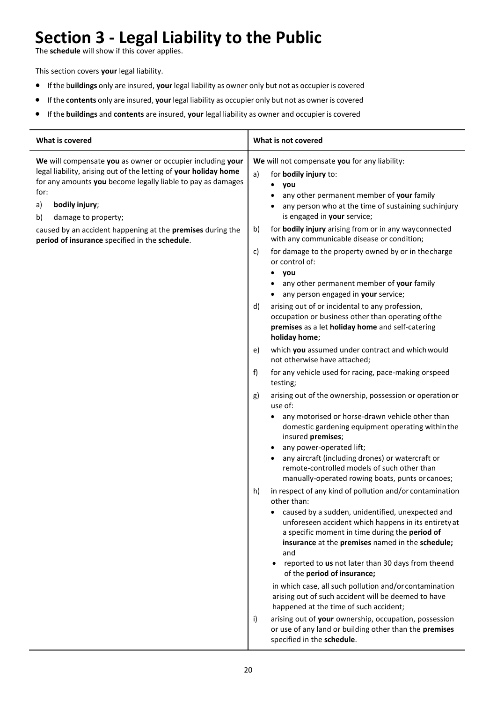# **Section 3 - Legal Liability to the Public**

The **schedule** will show if this cover applies.

This section covers **your** legal liability.

- Ifthe b**uildings** only are insured, **your** legal liability as owner only but not as occupier is covered
- Ifthe **contents** only are insured, **your** legal liability as occupier only but not as owner is covered
- Ifthe **buildings** and **contents** are insured, **your** legal liability as owner and occupier is covered

| What is covered                                                                                                                                                                                                                                            | What is not covered                                                                                                                                                                                                                                                                                                                                                                                                                                                                                                                                                             |
|------------------------------------------------------------------------------------------------------------------------------------------------------------------------------------------------------------------------------------------------------------|---------------------------------------------------------------------------------------------------------------------------------------------------------------------------------------------------------------------------------------------------------------------------------------------------------------------------------------------------------------------------------------------------------------------------------------------------------------------------------------------------------------------------------------------------------------------------------|
| We will compensate you as owner or occupier including your<br>legal liability, arising out of the letting of your holiday home<br>for any amounts you become legally liable to pay as damages<br>for:<br>a)<br>bodily injury;<br>damage to property;<br>b) | We will not compensate you for any liability:<br>a)<br>for <b>bodily injury</b> to:<br>you<br>any other permanent member of your family<br>any person who at the time of sustaining suchinjury<br>is engaged in your service;                                                                                                                                                                                                                                                                                                                                                   |
| caused by an accident happening at the premises during the<br>period of insurance specified in the schedule.                                                                                                                                               | for bodily injury arising from or in any wayconnected<br>b)<br>with any communicable disease or condition;<br>for damage to the property owned by or in the charge<br>c)<br>or control of:<br>you<br>any other permanent member of your family                                                                                                                                                                                                                                                                                                                                  |
|                                                                                                                                                                                                                                                            | any person engaged in your service;<br>arising out of or incidental to any profession,<br>d)<br>occupation or business other than operating of the<br>premises as a let holiday home and self-catering<br>holiday home;                                                                                                                                                                                                                                                                                                                                                         |
|                                                                                                                                                                                                                                                            | which you assumed under contract and which would<br>e)<br>not otherwise have attached;                                                                                                                                                                                                                                                                                                                                                                                                                                                                                          |
|                                                                                                                                                                                                                                                            | f)<br>for any vehicle used for racing, pace-making orspeed<br>testing;                                                                                                                                                                                                                                                                                                                                                                                                                                                                                                          |
|                                                                                                                                                                                                                                                            | arising out of the ownership, possession or operation or<br>g)<br>use of:                                                                                                                                                                                                                                                                                                                                                                                                                                                                                                       |
|                                                                                                                                                                                                                                                            | any motorised or horse-drawn vehicle other than<br>domestic gardening equipment operating within the<br>insured premises;<br>any power-operated lift;                                                                                                                                                                                                                                                                                                                                                                                                                           |
|                                                                                                                                                                                                                                                            | any aircraft (including drones) or watercraft or<br>remote-controlled models of such other than<br>manually-operated rowing boats, punts or canoes;                                                                                                                                                                                                                                                                                                                                                                                                                             |
|                                                                                                                                                                                                                                                            | in respect of any kind of pollution and/or contamination<br>h)<br>other than:<br>caused by a sudden, unidentified, unexpected and<br>$\bullet$<br>unforeseen accident which happens in its entirety at<br>a specific moment in time during the period of<br>insurance at the premises named in the schedule;<br>and<br>reported to us not later than 30 days from theend<br>$\bullet$<br>of the period of insurance;<br>in which case, all such pollution and/or contamination<br>arising out of such accident will be deemed to have<br>happened at the time of such accident; |
|                                                                                                                                                                                                                                                            | arising out of your ownership, occupation, possession<br>i)<br>or use of any land or building other than the premises<br>specified in the schedule.                                                                                                                                                                                                                                                                                                                                                                                                                             |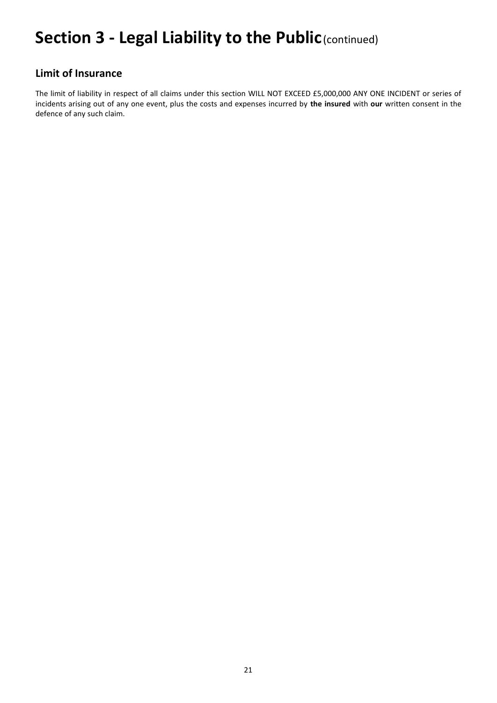## **Section 3 - Legal Liability to the Public**(continued)

### **Limit of Insurance**

The limit of liability in respect of all claims under this section WILL NOT EXCEED £5,000,000 ANY ONE INCIDENT or series of incidents arising out of any one event, plus the costs and expenses incurred by **the insured** with **our** written consent in the defence of any such claim.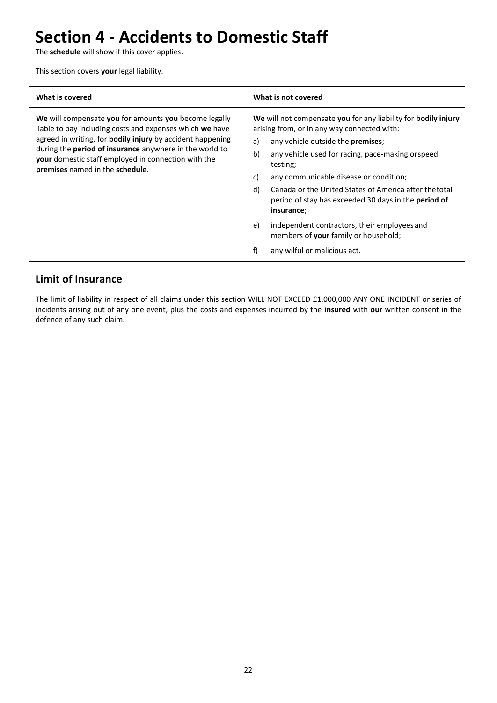# **Section 4 - Accidents to Domestic Staff**

The **schedule** will show if this cover applies.

This section covers **your** legal liability.

| What is covered                                                                                                                                                                                                                                                                                                                                    | What is not covered                                                                                                                                                                                                                                                                                                                                                                                                                                                                                                                                                    |
|----------------------------------------------------------------------------------------------------------------------------------------------------------------------------------------------------------------------------------------------------------------------------------------------------------------------------------------------------|------------------------------------------------------------------------------------------------------------------------------------------------------------------------------------------------------------------------------------------------------------------------------------------------------------------------------------------------------------------------------------------------------------------------------------------------------------------------------------------------------------------------------------------------------------------------|
| We will compensate you for amounts you become legally<br>liable to pay including costs and expenses which we have<br>agreed in writing, for <b>bodily injury</b> by accident happening<br>during the <b>period of insurance</b> anywhere in the world to<br>your domestic staff employed in connection with the<br>premises named in the schedule. | We will not compensate you for any liability for bodily injury<br>arising from, or in any way connected with:<br>any vehicle outside the <b>premises</b> ;<br>a)<br>b)<br>any vehicle used for racing, pace-making orspeed<br>testing;<br>c)<br>any communicable disease or condition;<br>d)<br>Canada or the United States of America after thetotal<br>period of stay has exceeded 30 days in the <b>period of</b><br>insurance;<br>independent contractors, their employees and<br>e)<br>members of your family or household;<br>f)<br>any wilful or malicious act. |

### **Limit of Insurance**

The limit of liability in respect of all claims under this section WILL NOT EXCEED £1,000,000 ANY ONE INCIDENT or series of incidents arising out of any one event, plus the costs and expenses incurred by the **insured** with **our** written consent in the defence of any such claim.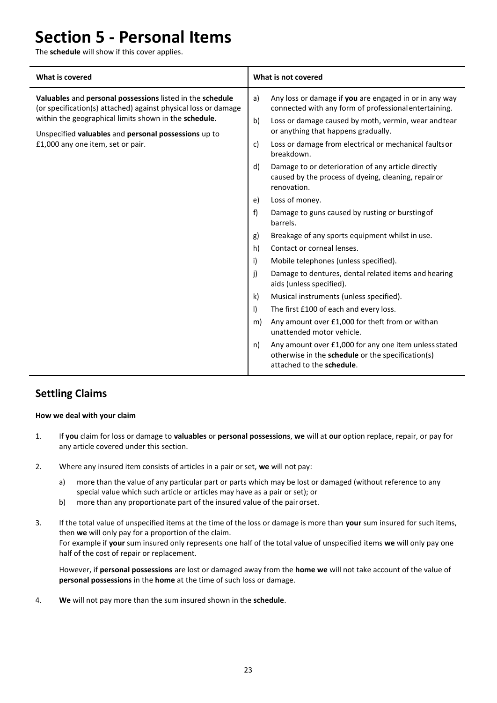### **Section 5 - Personal Items**

The **schedule** will show if this cover applies.

| <b>What is covered</b>                                                                                                                                                                                                                                                            | What is not covered                                                                                                                                                                                                                                                                                                                                                                                                                                                                                                                                                                                                                                                                                                                                                                                                                                                                                                                                                                                                                                                                                                                   |
|-----------------------------------------------------------------------------------------------------------------------------------------------------------------------------------------------------------------------------------------------------------------------------------|---------------------------------------------------------------------------------------------------------------------------------------------------------------------------------------------------------------------------------------------------------------------------------------------------------------------------------------------------------------------------------------------------------------------------------------------------------------------------------------------------------------------------------------------------------------------------------------------------------------------------------------------------------------------------------------------------------------------------------------------------------------------------------------------------------------------------------------------------------------------------------------------------------------------------------------------------------------------------------------------------------------------------------------------------------------------------------------------------------------------------------------|
| Valuables and personal possessions listed in the schedule<br>(or specification(s) attached) against physical loss or damage<br>within the geographical limits shown in the schedule.<br>Unspecified valuables and personal possessions up to<br>£1,000 any one item, set or pair. | Any loss or damage if you are engaged in or in any way<br>a)<br>connected with any form of professional entertaining.<br>b)<br>Loss or damage caused by moth, vermin, wear and tear<br>or anything that happens gradually.<br>c)<br>Loss or damage from electrical or mechanical faults or<br>breakdown.<br>d)<br>Damage to or deterioration of any article directly<br>caused by the process of dyeing, cleaning, repair or<br>renovation.<br>Loss of money.<br>e)<br>f<br>Damage to guns caused by rusting or bursting of<br>barrels.<br>Breakage of any sports equipment whilst in use.<br>g)<br>Contact or corneal lenses.<br>h)<br>i)<br>Mobile telephones (unless specified).<br>j)<br>Damage to dentures, dental related items and hearing<br>aids (unless specified).<br>$\mathsf{k}$<br>Musical instruments (unless specified).<br>$\vert$<br>The first £100 of each and every loss.<br>Any amount over £1,000 for theft from or with an<br>m)<br>unattended motor vehicle.<br>Any amount over £1,000 for any one item unless stated<br>n)<br>otherwise in the schedule or the specification(s)<br>attached to the schedule. |

### **Settling Claims**

#### **How we deal with your claim**

- 1. If **you** claim for loss or damage to **valuables** or **personal possessions**, **we** will at **our** option replace, repair, or pay for any article covered under this section.
- 2. Where any insured item consists of articles in a pair or set, **we** will not pay:
	- a) more than the value of any particular part or parts which may be lost or damaged (without reference to any special value which such article or articles may have as a pair or set); or
	- b) more than any proportionate part of the insured value of the pair orset.
- 3. If the total value of unspecified items at the time of the loss or damage is more than **your** sum insured for such items, then **we** will only pay for a proportion of the claim. For example if **your** sum insured only represents one half of the total value of unspecified items **we** will only pay one half of the cost of repair or replacement.

However, if **personal possessions** are lost or damaged away from the **home we** will not take account of the value of **personal possessions** in the **home** at the time of such loss or damage.

4. **We** will not pay more than the sum insured shown in the **schedule**.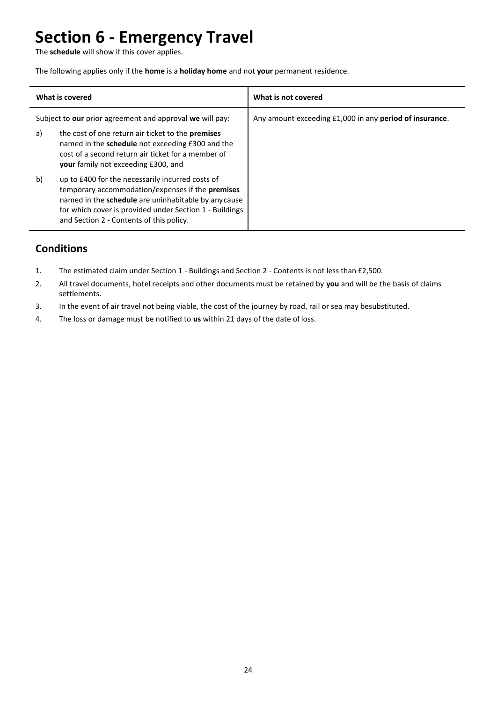## **Section 6 - Emergency Travel**

The **schedule** will show if this cover applies.

The following applies only if the **home** is a **holiday home** and not **your** permanent residence.

| What is covered                                          |                                                                                                                                                                                                                                                                            | What is not covered                                     |
|----------------------------------------------------------|----------------------------------------------------------------------------------------------------------------------------------------------------------------------------------------------------------------------------------------------------------------------------|---------------------------------------------------------|
| Subject to our prior agreement and approval we will pay: |                                                                                                                                                                                                                                                                            | Any amount exceeding £1,000 in any period of insurance. |
| a)                                                       | the cost of one return air ticket to the <b>premises</b><br>named in the schedule not exceeding £300 and the<br>cost of a second return air ticket for a member of<br><b>your</b> family not exceeding £300, and                                                           |                                                         |
| b)                                                       | up to £400 for the necessarily incurred costs of<br>temporary accommodation/expenses if the <b>premises</b><br>named in the schedule are uninhabitable by any cause<br>for which cover is provided under Section 1 - Buildings<br>and Section 2 - Contents of this policy. |                                                         |

### **Conditions**

- 1. The estimated claim under Section 1 Buildings and Section 2 Contents is not less than £2,500.
- 2. All travel documents, hotel receipts and other documents must be retained by **you** and will be the basis of claims settlements.
- 3. In the event of air travel not being viable, the cost of the journey by road, rail or sea may besubstituted.
- 4. The loss or damage must be notified to **us** within 21 days of the date of loss.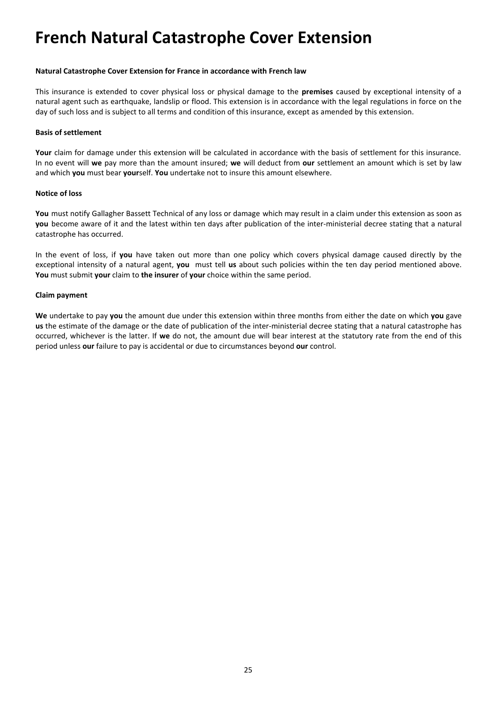### **French Natural Catastrophe Cover Extension**

#### **Natural Catastrophe Cover Extension for France in accordance with French law**

This insurance is extended to cover physical loss or physical damage to the **premises** caused by exceptional intensity of a natural agent such as earthquake, landslip or flood. This extension is in accordance with the legal regulations in force on the day of such loss and is subject to all terms and condition of this insurance, except as amended by this extension.

#### **Basis of settlement**

Your claim for damage under this extension will be calculated in accordance with the basis of settlement for this insurance. In no event will **we** pay more than the amount insured; **we** will deduct from **our** settlement an amount which is set by law and which **you** must bear **your**self. **You** undertake not to insure this amount elsewhere.

#### **Notice of loss**

**You** must notify Gallagher Bassett Technical of any loss or damage which may result in a claim under this extension as soon as **you** become aware of it and the latest within ten days after publication of the inter-ministerial decree stating that a natural catastrophe has occurred.

In the event of loss, if **you** have taken out more than one policy which covers physical damage caused directly by the exceptional intensity of a natural agent, **you** must tell **us** about such policies within the ten day period mentioned above. **You** must submit **your** claim to **the insurer** of **your** choice within the same period.

#### **Claim payment**

**We** undertake to pay **you** the amount due under this extension within three months from either the date on which **you** gave **us** the estimate of the damage or the date of publication of the inter-ministerial decree stating that a natural catastrophe has occurred, whichever is the latter. If **we** do not, the amount due will bear interest at the statutory rate from the end of this period unless **our** failure to pay is accidental or due to circumstances beyond **our** control.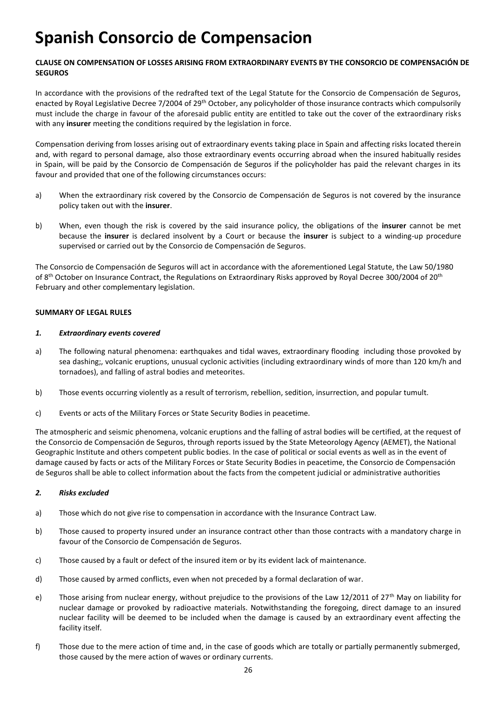## **Spanish Consorcio de Compensacion**

#### **CLAUSE ON COMPENSATION OF LOSSES ARISING FROM EXTRAORDINARY EVENTS BY THE CONSORCIO DE COMPENSACIÓN DE SEGUROS**

In accordance with the provisions of the redrafted text of the Legal Statute for the Consorcio de Compensación de Seguros, enacted by Royal Legislative Decree 7/2004 of 29<sup>th</sup> October, any policyholder of those insurance contracts which compulsorily must include the charge in favour of the aforesaid public entity are entitled to take out the cover of the extraordinary risks with any **insurer** meeting the conditions required by the legislation in force.

Compensation deriving from losses arising out of extraordinary events taking place in Spain and affecting risks located therein and, with regard to personal damage, also those extraordinary events occurring abroad when the insured habitually resides in Spain, will be paid by the Consorcio de Compensación de Seguros if the policyholder has paid the relevant charges in its favour and provided that one of the following circumstances occurs:

- a) When the extraordinary risk covered by the Consorcio de Compensación de Seguros is not covered by the insurance policy taken out with the **insurer**.
- b) When, even though the risk is covered by the said insurance policy, the obligations of the **insurer** cannot be met because the **insurer** is declared insolvent by a Court or because the **insurer** is subject to a winding-up procedure supervised or carried out by the Consorcio de Compensación de Seguros.

The Consorcio de Compensación de Seguros will act in accordance with the aforementioned Legal Statute, the Law 50/1980 of 8<sup>th</sup> October on Insurance Contract, the Regulations on Extraordinary Risks approved by Royal Decree 300/2004 of 20<sup>th</sup> February and other complementary legislation.

#### **SUMMARY OF LEGAL RULES**

#### *1. Extraordinary events covered*

- a) The following natural phenomena: earthquakes and tidal waves, extraordinary flooding including those provoked by sea dashing;, volcanic eruptions, unusual cyclonic activities (including extraordinary winds of more than 120 km/h and tornadoes), and falling of astral bodies and meteorites.
- b) Those events occurring violently as a result of terrorism, rebellion, sedition, insurrection, and popular tumult.
- c) Events or acts of the Military Forces or State Security Bodies in peacetime.

The atmospheric and seismic phenomena, volcanic eruptions and the falling of astral bodies will be certified, at the request of the Consorcio de Compensación de Seguros, through reports issued by the State Meteorology Agency (AEMET), the National Geographic Institute and others competent public bodies. In the case of political or social events as well as in the event of damage caused by facts or acts of the Military Forces or State Security Bodies in peacetime, the Consorcio de Compensación de Seguros shall be able to collect information about the facts from the competent judicial or administrative authorities

#### *2. Risks excluded*

- a) Those which do not give rise to compensation in accordance with the Insurance Contract Law.
- b) Those caused to property insured under an insurance contract other than those contracts with a mandatory charge in favour of the Consorcio de Compensación de Seguros.
- c) Those caused by a fault or defect of the insured item or by its evident lack of maintenance.
- d) Those caused by armed conflicts, even when not preceded by a formal declaration of war.
- e) Those arising from nuclear energy, without prejudice to the provisions of the Law 12/2011 of 27<sup>th</sup> May on liability for nuclear damage or provoked by radioactive materials. Notwithstanding the foregoing, direct damage to an insured nuclear facility will be deemed to be included when the damage is caused by an extraordinary event affecting the facility itself.
- f) Those due to the mere action of time and, in the case of goods which are totally or partially permanently submerged, those caused by the mere action of waves or ordinary currents.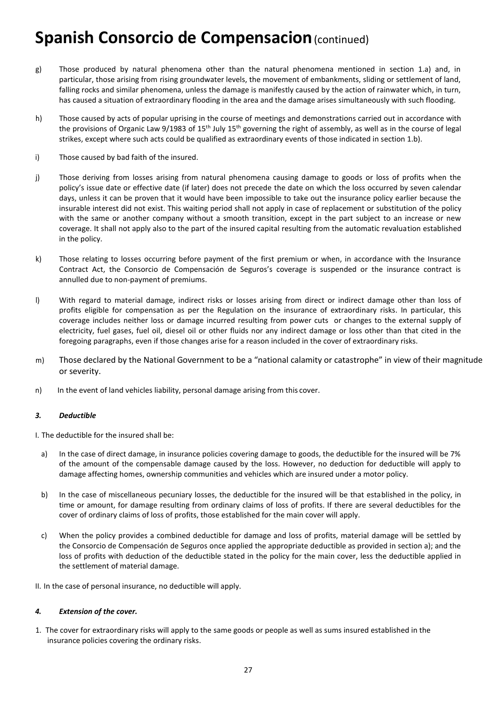### **Spanish Consorcio de Compensacion (continued)**

- g) Those produced by natural phenomena other than the natural phenomena mentioned in section 1.a) and, in particular, those arising from rising groundwater levels, the movement of embankments, sliding or settlement of land, falling rocks and similar phenomena, unless the damage is manifestly caused by the action of rainwater which, in turn, has caused a situation of extraordinary flooding in the area and the damage arises simultaneously with such flooding.
- h) Those caused by acts of popular uprising in the course of meetings and demonstrations carried out in accordance with the provisions of Organic Law 9/1983 of 15<sup>th</sup> July 15<sup>th</sup> governing the right of assembly, as well as in the course of legal strikes, except where such acts could be qualified as extraordinary events of those indicated in section 1.b).
- i) Those caused by bad faith of the insured.
- j) Those deriving from losses arising from natural phenomena causing damage to goods or loss of profits when the policy's issue date or effective date (if later) does not precede the date on which the loss occurred by seven calendar days, unless it can be proven that it would have been impossible to take out the insurance policy earlier because the insurable interest did not exist. This waiting period shall not apply in case of replacement or substitution of the policy with the same or another company without a smooth transition, except in the part subject to an increase or new coverage. It shall not apply also to the part of the insured capital resulting from the automatic revaluation established in the policy.
- k) Those relating to losses occurring before payment of the first premium or when, in accordance with the Insurance Contract Act, the Consorcio de Compensación de Seguros's coverage is suspended or the insurance contract is annulled due to non-payment of premiums.
- l) With regard to material damage, indirect risks or losses arising from direct or indirect damage other than loss of profits eligible for compensation as per the Regulation on the insurance of extraordinary risks. In particular, this coverage includes neither loss or damage incurred resulting from power cuts or changes to the external supply of electricity, fuel gases, fuel oil, diesel oil or other fluids nor any indirect damage or loss other than that cited in the foregoing paragraphs, even if those changes arise for a reason included in the cover of extraordinary risks.
- m) Those declared by the National Government to be a "national calamity or catastrophe" in view of their magnitude or severity.
- n) In the event of land vehicles liability, personal damage arising from this cover.

#### *3. Deductible*

I. The deductible for the insured shall be:

- a) In the case of direct damage, in insurance policies covering damage to goods, the deductible for the insured will be 7% of the amount of the compensable damage caused by the loss. However, no deduction for deductible will apply to damage affecting homes, ownership communities and vehicles which are insured under a motor policy.
- b) In the case of miscellaneous pecuniary losses, the deductible for the insured will be that established in the policy, in time or amount, for damage resulting from ordinary claims of loss of profits. If there are several deductibles for the cover of ordinary claims of loss of profits, those established for the main cover will apply.
- c) When the policy provides a combined deductible for damage and loss of profits, material damage will be settled by the Consorcio de Compensación de Seguros once applied the appropriate deductible as provided in section a); and the loss of profits with deduction of the deductible stated in the policy for the main cover, less the deductible applied in the settlement of material damage.

II. In the case of personal insurance, no deductible will apply.

#### *4. Extension of the cover.*

1. The cover for extraordinary risks will apply to the same goods or people as well as sums insured established in the insurance policies covering the ordinary risks.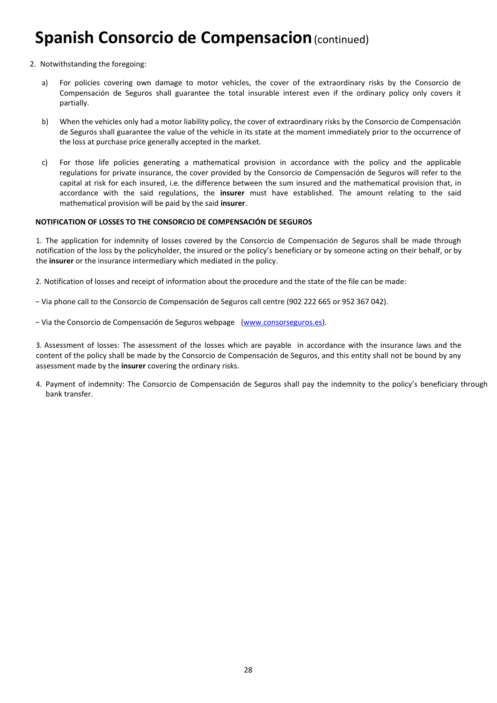### **Spanish Consorcio de Compensacion (continued)**

- 2. Notwithstanding the foregoing:
	- a) For policies covering own damage to motor vehicles, the cover of the extraordinary risks by the Consorcio de Compensación de Seguros shall guarantee the total insurable interest even if the ordinary policy only covers it partially.
	- b) When the vehicles only had a motor liability policy, the cover of extraordinary risks by the Consorcio de Compensación de Seguros shall guarantee the value of the vehicle in its state at the moment immediately prior to the occurrence of the loss at purchase price generally accepted in the market.
	- c) For those life policies generating a mathematical provision in accordance with the policy and the applicable regulations for private insurance, the cover provided by the Consorcio de Compensación de Seguros will refer to the capital at risk for each insured, i.e. the difference between the sum insured and the mathematical provision that, in accordance with the said regulations, the **insurer** must have established. The amount relating to the said mathematical provision will be paid by the said **insurer**.

#### **NOTIFICATION OF LOSSES TO THE CONSORCIO DE COMPENSACIÓN DE SEGUROS**

1. The application for indemnity of losses covered by the Consorcio de Compensación de Seguros shall be made through notification of the loss by the policyholder, the insured or the policy's beneficiary or by someone acting on their behalf, or by the **insurer** or the insurance intermediary which mediated in the policy.

2. Notification of losses and receipt of information about the procedure and the state of the file can be made:

- − Via phone call to the Consorcio de Compensación de Seguros call centre (902 222 665 or 952 367 042).
- − Via the Consorcio de Compensación de Seguros webpage [\(www.consorseguros.es\)](http://www.consorseguros.es/).

3. Assessment of losses: The assessment of the losses which are payable in accordance with the insurance laws and the content of the policy shall be made by the Consorcio de Compensación de Seguros, and this entity shall not be bound by any assessment made by the **insurer** covering the ordinary risks.

4. Payment of indemnity: The Consorcio de Compensación de Seguros shall pay the indemnity to the policy's beneficiary through bank transfer.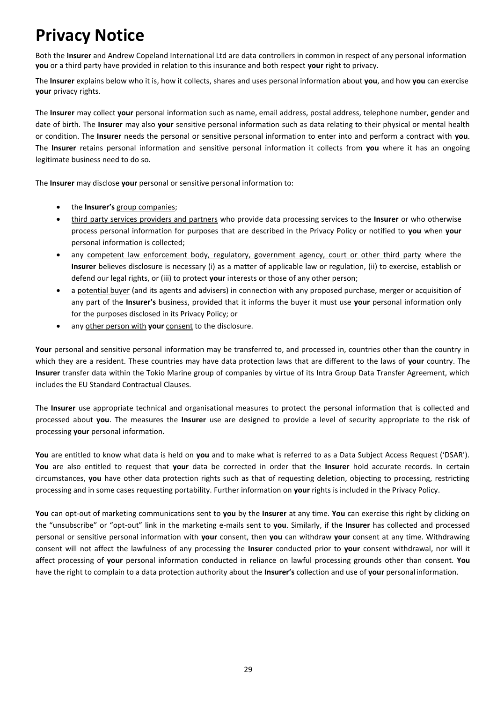# **Privacy Notice**

Both the **Insurer** and Andrew Copeland International Ltd are data controllers in common in respect of any personal information **you** or a third party have provided in relation to this insurance and both respect **your** right to privacy.

The **Insurer** explains below who it is, how it collects, shares and uses personal information about **you**, and how **you** can exercise **your** privacy rights.

The **Insurer** may collect **your** personal information such as name, email address, postal address, telephone number, gender and date of birth. The **Insurer** may also **your** sensitive personal information such as data relating to their physical or mental health or condition. The **Insurer** needs the personal or sensitive personal information to enter into and perform a contract with **you**. The **Insurer** retains personal information and sensitive personal information it collects from **you** where it has an ongoing legitimate business need to do so.

The **Insurer** may disclose **your** personal or sensitive personal information to:

- the **Insurer's** group companies;
- third party services providers and partners who provide data processing services to the **Insurer** or who otherwise process personal information for purposes that are described in the Privacy Policy or notified to **you** when **your**  personal information is collected;
- any competent law enforcement body, regulatory, government agency, court or other third party where the **Insurer** believes disclosure is necessary (i) as a matter of applicable law or regulation, (ii) to exercise, establish or defend our legal rights, or (iii) to protect **your** interests or those of any other person;
- a potential buyer (and its agents and advisers) in connection with any proposed purchase, merger or acquisition of any part of the **Insurer's** business, provided that it informs the buyer it must use **your** personal information only for the purposes disclosed in its Privacy Policy; or
- any other person with **your** consent to the disclosure.

Your personal and sensitive personal information may be transferred to, and processed in, countries other than the country in which they are a resident. These countries may have data protection laws that are different to the laws of **your** country. The **Insurer** transfer data within the Tokio Marine group of companies by virtue of its Intra Group Data Transfer Agreement, which includes the EU Standard Contractual Clauses.

The **Insurer** use appropriate technical and organisational measures to protect the personal information that is collected and processed about **you**. The measures the **Insurer** use are designed to provide a level of security appropriate to the risk of processing **your** personal information.

**You** are entitled to know what data is held on **you** and to make what is referred to as a Data Subject Access Request ('DSAR'). **You** are also entitled to request that **your** data be corrected in order that the **Insurer** hold accurate records. In certain circumstances, **you** have other data protection rights such as that of requesting deletion, objecting to processing, restricting processing and in some cases requesting portability. Further information on **your** rights is included in the Privacy Policy.

**You** can opt-out of marketing communications sent to **you** by the **Insurer** at any time. **You** can exercise this right by clicking on the "unsubscribe" or "opt-out" link in the marketing e-mails sent to **you**. Similarly, if the **Insurer** has collected and processed personal or sensitive personal information with **your** consent, then **you** can withdraw **your** consent at any time. Withdrawing consent will not affect the lawfulness of any processing the **Insurer** conducted prior to **your** consent withdrawal, nor will it affect processing of **your** personal information conducted in reliance on lawful processing grounds other than consent. **You**  have the right to complain to a data protection authority about the **Insurer's** collection and use of **your** personalinformation.